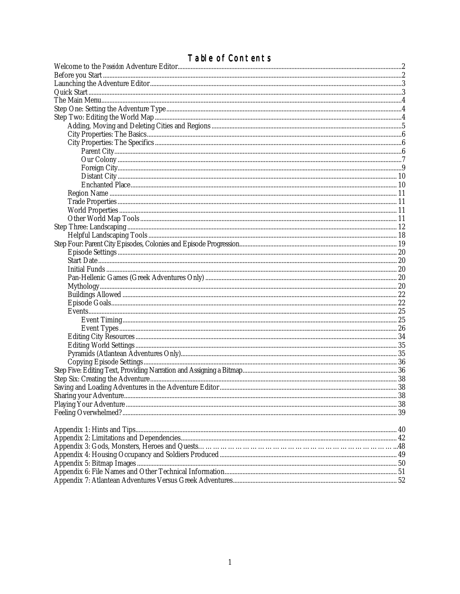# Table of Contents

| <b>I able OF CONTENTS</b> |  |
|---------------------------|--|
|                           |  |
|                           |  |
|                           |  |
|                           |  |
|                           |  |
|                           |  |
|                           |  |
|                           |  |
|                           |  |
|                           |  |
|                           |  |
|                           |  |
|                           |  |
|                           |  |
|                           |  |
|                           |  |
|                           |  |
|                           |  |
|                           |  |
|                           |  |
|                           |  |
|                           |  |
|                           |  |
|                           |  |
|                           |  |
|                           |  |
|                           |  |
|                           |  |
|                           |  |
|                           |  |
|                           |  |
|                           |  |
|                           |  |
|                           |  |
|                           |  |
|                           |  |
|                           |  |
|                           |  |
|                           |  |
|                           |  |
|                           |  |
|                           |  |
|                           |  |
|                           |  |
|                           |  |
|                           |  |
|                           |  |
|                           |  |
|                           |  |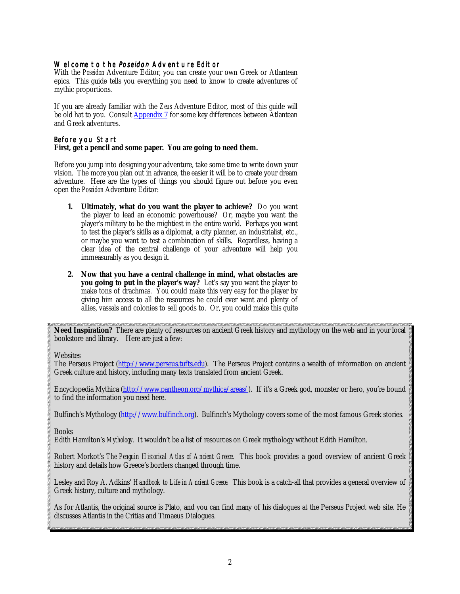#### <span id="page-1-0"></span>Welcome to the Poseidon Adventure Editor

With the *Poseidon* Adventure Editor, you can create your own Greek or Atlantean epics. This guide tells you everything you need to know to create adventures of mythic proportions.

If you are already familiar with the *Zeus* Adventure Editor, most of this guide will be old hat to you. Consult **Appendix 7** for some key differences between Atlantean and Greek adventures.

#### Before you Start **First, get a pencil and some paper. You are going to need them.**

Before you jump into designing your adventure, take some time to write down your vision. The more you plan out in advance, the easier it will be to create your dream adventure. Here are the types of things you should figure out before you even open the *Poseidon* Adventure Editor:

- **1. Ultimately, what do you want the player to achieve?** Do you want the player to lead an economic powerhouse? Or, maybe you want the player's military to be the mightiest in the entire world. Perhaps you want to test the player's skills as a diplomat, a city planner, an industrialist, etc., or maybe you want to test a combination of skills. Regardless, having a clear idea of the central challenge of your adventure will help you immeasurably as you design it.
- **2. Now that you have a central challenge in mind, what obstacles are you going to put in the player's way?** Let's say you want the player to make tons of drachmas. You could make this very easy for the player by giving him access to all the resources he could ever want and plenty of allies, vassals and colonies to sell goods to. Or, you could make this quite

**Need Inspiration?** There are plenty of resources on ancient Greek history and mythology on the web and in your local bookstore and library. Here are just a few:

#### **Websites**

The Perseus Project [\(http://www.perseus.tufts.edu\).](http://www.perseus.tufts.edu) The Perseus Project contains a wealth of information on ancient Greek culture and history, including many texts translated from ancient Greek.

Encyclopedia Mythica [\(http://www.pantheon.org/mythica/areas/\).](http://www.pantheon.org/mythica/areas/) If it's a Greek god, monster or hero, you're bound to find the information you need here.

Bulfinch's Mythology [\(http://www.bulfinch.org\).](http://www.bulfinch.org) Bulfinch's Mythology covers some of the most famous Greek stories.

### Books

Edith Hamilton's *Mythology*. It wouldn't be a list of resources on Greek mythology without Edith Hamilton.

Robert Morkot's *The Penguin Historical Atlas of Ancient Greece.* This book provides a good overview of ancient Greek history and details how Greece's borders changed through time.

Lesley and Roy A. Adkins' *Handbook to Life in Ancient Greece.* This book is a catch-all that provides a general overview of Greek history, culture and mythology.

As for Atlantis, the original source is Plato, and you can find many of his dialogues at the Perseus Project web site. He discusses Atlantis in the Critias and Timaeus Dialogues.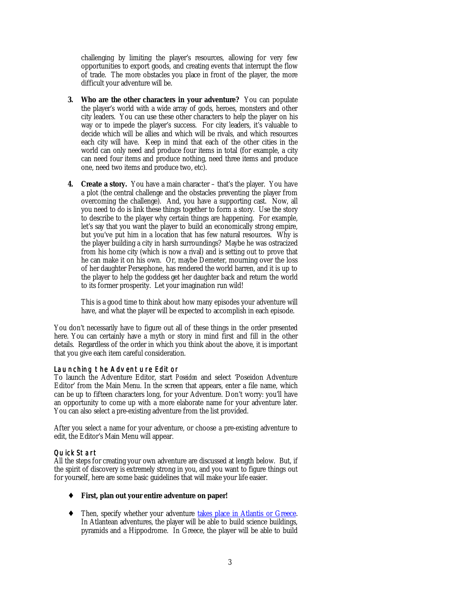<span id="page-2-0"></span>challenging by limiting the player's resources, allowing for very few opportunities to export goods, and creating events that interrupt the flow of trade. The more obstacles you place in front of the player, the more difficult your adventure will be.

- **3. Who are the other characters in your adventure?** You can populate the player's world with a wide array of gods, heroes, monsters and other city leaders. You can use these other characters to help the player on his way or to impede the player's success. For city leaders, it's valuable to decide which will be allies and which will be rivals, and which resources each city will have. Keep in mind that each of the other cities in the world can only need and produce four items in total (for example, a city can need four items and produce nothing, need three items and produce one, need two items and produce two, etc).
- **4. Create a story.** You have a main character that's the player. You have a plot (the central challenge and the obstacles preventing the player from overcoming the challenge). And, you have a supporting cast. Now, all you need to do is link these things together to form a story. Use the story to describe to the player why certain things are happening. For example, let's say that you want the player to build an economically strong empire, but you've put him in a location that has few natural resources. Why is the player building a city in harsh surroundings? Maybe he was ostracized from his home city (which is now a rival) and is setting out to prove that he can make it on his own. Or, maybe Demeter, mourning over the loss of her daughter Persephone, has rendered the world barren, and it is up to the player to help the goddess get her daughter back and return the world to its former prosperity. Let your imagination run wild!

This is a good time to think about how many episodes your adventure will have, and what the player will be expected to accomplish in each episode.

You don't necessarily have to figure out all of these things in the order presented here. You can certainly have a myth or story in mind first and fill in the other details. Regardless of the order in which you think about the above, it is important that you give each item careful consideration.

### Launching the Adventure Editor

To launch the Adventure Editor, start *Poseidon* and select 'Poseidon Adventure Editor' from the Main Menu. In the screen that appears, enter a file name, which can be up to fifteen characters long, for your Adventure. Don't worry: you'll have an opportunity to come up with a more elaborate name for your adventure later. You can also select a pre-existing adventure from the list provided.

After you select a name for your adventure, or choose a pre-existing adventure to edit, the Editor's Main Menu will appear.

#### Quick Start

All the steps for creating your own adventure are discussed at length below. But, if the spirit of discovery is extremely strong in you, and you want to figure things out for yourself, here are some basic guidelines that will make your life easier.

- ♦ **First, plan out your entire adventure on paper!**
- ♦ Then, specify whether your adventure [takes place in Atlantis or Greece.](#page-3-0) In Atlantean adventures, the player will be able to build science buildings, pyramids and a Hippodrome. In Greece, the player will be able to build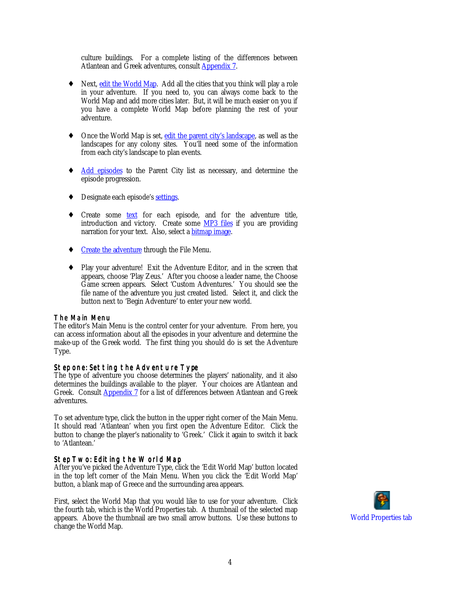<span id="page-3-0"></span>culture buildings. For a complete listing of the differences between Atlantean and Greek adventures, consul[t Appendix 7.](#page-51-0)

- Next, [edit the World Map.](#page-4-0) Add all the cities that you think will play a role in your adventure. If you need to, you can always come back to the World Map and add more cities later. But, it will be much easier on you if you have a complete World Map before planning the rest of your adventure.
- Once the World Map is set, [edit the parent city's landscape,](#page-11-0) as well as the landscapes for any colony sites. You'll need some of the information from each city's landscape to plan events.
- ♦ [Add episodes](#page-18-0) to the Parent City list as necessary, and determine the episode progression.
- ◆ Designate each episode'[s settings.](#page-19-0)
- Create some [text](#page-35-0) for each episode, and for the adventure title, introduction and victory. Create some [MP3 files](#page-36-0) if you are providing narration for your text. Also, select a **bitmap image**.
- ◆ [Create the adventure](#page-37-0) through the File Menu.
- ♦ Play your adventure! Exit the Adventure Editor, and in the screen that appears, choose 'Play Zeus.' After you choose a leader name, the Choose Game screen appears. Select 'Custom Adventures.' You should see the file name of the adventure you just created listed. Select it, and click the button next to 'Begin Adventure' to enter your new world.

#### The Main Menu

The editor's Main Menu is the control center for your adventure. From here, you can access information about all the episodes in your adventure and determine the make-up of the Greek world. The first thing you should do is set the Adventure Type.

## Step one: Setting the Adventure Type

The type of adventure you choose determines the players' nationality, and it also determines the buildings available to the player. Your choices are Atlantean and Greek. Consult [Appendix 7 f](#page-51-0)or a list of differences between Atlantean and Greek adventures.

To set adventure type, click the button in the upper right corner of the Main Menu. It should read 'Atlantean' when you first open the Adventure Editor. Click the button to change the player's nationality to 'Greek.' Click it again to switch it back to 'Atlantean.'

### Step Two: Editing the World Map

After you've picked the Adventure Type, click the 'Edit World Map' button located in the top left corner of the Main Menu. When you click the 'Edit World Map' button, a blank map of Greece and the surrounding area appears.

First, select the World Map that you would like to use for your adventure. Click the fourth tab, which is the World Properties tab. A thumbnail of the selected map appears. Above the thumbnail are two small arrow buttons. Use these buttons to change the World Map.

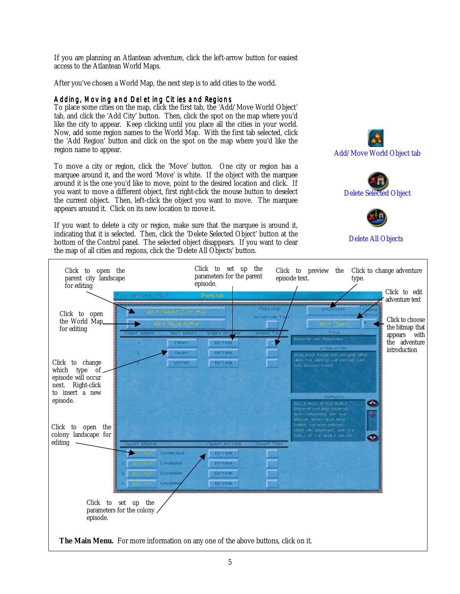<span id="page-4-0"></span>If you are planning an Atlantean adventure, click the left-arrow button for easiest access to the Atlantean World Maps.

After you've chosen a World Map, the next step is to add cities to the world.

## Adding, Moving and Deleting Cities and Regions

To place some cities on the map, click the first tab, the 'Add/Move World Object' tab, and click the 'Add City' button. Then, click the spot on the map where you'd like the city to appear. Keep clicking until you place all the cities in your world. Now, add some region names to the World Map. With the first tab selected, click the 'Add Region' button and click on the spot on the map where you'd like the region name to appear.

To move a city or region, click the 'Move' button. One city or region has a marquee around it, and the word 'Move' is white. If the object with the marquee around it is the one you'd like to move, point to the desired location and click. If you want to move a different object, first right-click the mouse button to deselect the current object. Then, left-click the object you want to move. The marquee appears around it. Click on its new location to move it.

If you want to delete a city or region, make sure that the marquee is around it, indicating that it is selected. Then, click the 'Delete Selected Object' button at the bottom of the Control panel. The selected object disappears. If you want to clear the map of all cities and regions, click the 'Delete All Objects' button.



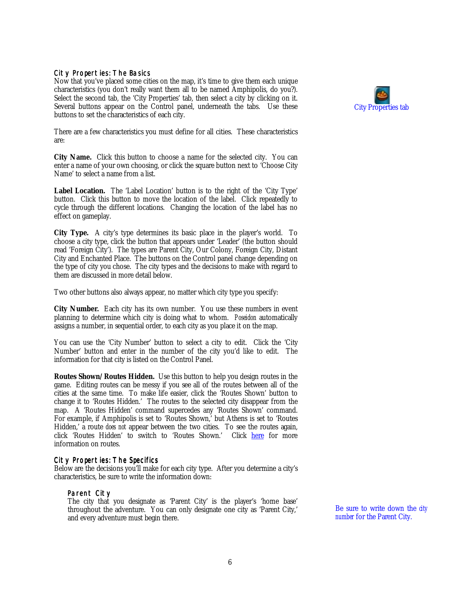#### <span id="page-5-0"></span>City Properties: The Basics

Now that you've placed some cities on the map, it's time to give them each unique characteristics (you don't really want them all to be named Amphipolis, do you?). Select the second tab, the 'City Properties' tab, then select a city by clicking on it. Several buttons appear on the Control panel, underneath the tabs. Use these buttons to set the characteristics of each city.

There are a few characteristics you must define for all cities. These characteristics are:

**City Name.** Click this button to choose a name for the selected city. You can enter a name of your own choosing, or click the square button next to 'Choose City Name' to select a name from a list.

**Label Location.** The 'Label Location' button is to the right of the 'City Type' button. Click this button to move the location of the label. Click repeatedly to cycle through the different locations. Changing the location of the label has no effect on gameplay.

**City Type.** A city's type determines its basic place in the player's world. To choose a city type, click the button that appears under 'Leader' (the button should read 'Foreign City'). The types are Parent City, Our Colony, Foreign City, Distant City and Enchanted Place. The buttons on the Control panel change depending on the type of city you chose. The city types and the decisions to make with regard to them are discussed in more detail below.

Two other buttons also always appear, no matter which city type you specify:

**City Number.** Each city has its own number. You use these numbers in event planning to determine which city is doing what to whom. *Poseidon* automatically assigns a number, in sequential order, to each city as you place it on the map.

You can use the 'City Number' button to select a city to edit. Click the 'City Number' button and enter in the number of the city you'd like to edit. The information for that city is listed on the Control Panel.

**Routes Shown/Routes Hidden.** Use this button to help you design routes in the game. Editing routes can be messy if you see all of the routes between all of the cities at the same time. To make life easier, click the 'Routes Shown' button to change it to 'Routes Hidden.' The routes to the selected city disappear from the map. A 'Routes Hidden' command supercedes any 'Routes Shown' command. For example, if Amphipolis is set to 'Routes Shown,' but Athens is set to 'Routes Hidden,' a route *does not* appear between the two cities. To see the routes again, click 'Routes Hidden' to switch to 'Routes Shown.' Click <u>here</u> for more information on routes.

#### City Properties: The Specifics

Below are the decisions you'll make for each city type. After you determine a city's characteristics, be sure to write the information down:

#### Parent City

The city that you designate as 'Parent City' is the player's 'home base' throughout the adventure. You can only designate one city as 'Parent City,' and every adventure must begin there.

Be sure to write down the *city number* for the Parent City.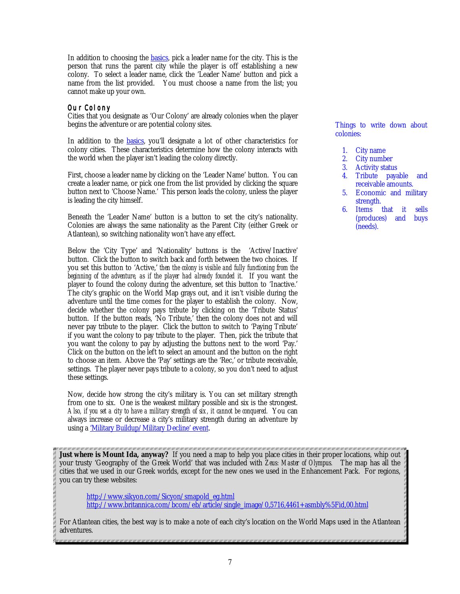<span id="page-6-0"></span>In addition to choosing the **basics**, pick a leader name for the city. This is the person that runs the parent city while the player is off establishing a new colony. To select a leader name, click the 'Leader Name' button and pick a name from the list provided. You must choose a name from the list; you cannot make up your own.

## Our Colony

Cities that you designate as 'Our Colony' are already colonies when the player begins the adventure or are potential colony sites.

In addition to the [basics,](#page-5-0) you'll designate a lot of other characteristics for colony cities. These characteristics determine how the colony interacts with the world when the player isn't leading the colony directly.

First, choose a leader name by clicking on the 'Leader Name' button. You can create a leader name, or pick one from the list provided by clicking the square button next to 'Choose Name.' This person leads the colony, unless the player is leading the city himself.

Beneath the 'Leader Name' button is a button to set the city's nationality. Colonies are always the same nationality as the Parent City (either Greek or Atlantean), so switching nationality won't have any effect.

Below the 'City Type' and 'Nationality' buttons is the 'Active/Inactive' button. Click the button to switch back and forth between the two choices. If you set this button to 'Active,' *then the colony is visible and fully functioning from the beginning of the adventure, as if the player had already founded it.* If you want the player to found the colony during the adventure, set this button to 'Inactive.' The city's graphic on the World Map grays out, and it isn't visible during the adventure until the time comes for the player to establish the colony. Now, decide whether the colony pays tribute by clicking on the 'Tribute Status' button. If the button reads, 'No Tribute,' then the colony does not and will never pay tribute to the player. Click the button to switch to 'Paying Tribute' if you want the colony to pay tribute to the player. Then, pick the tribute that you want the colony to pay by adjusting the buttons next to the word 'Pay.' Click on the button on the left to select an amount and the button on the right to choose an item. Above the 'Pay' settings are the 'Rec,' or tribute receivable, settings. The player never pays tribute to a colony, so you don't need to adjust these settings.

Now, decide how strong the city's military is. You can set military strength from one to six. One is the weakest military possible and six is the strongest. *Also, if you set a city to have a military strength of six, it cannot be conquered.* You can always increase or decrease a city's military strength during an adventure by using a ['Military Buildup/Military Decline' event.](#page-31-0)

**Just where is Mount Ida, anyway?** If you need a map to help you place cities in their proper locations, whip out your trusty 'Geography of the Greek World' that was included with *Zeus: Master of Olympus.* The map has all the cities that we used in our Greek worlds, except for the new ones we used in the Enhancement Pack. For regions, you can try these websites:

[http://www.sikyon.com/Sicyon/smapold\\_eg.html](http://www.sikyon.com/Sicyon/smapold_eg.html) [http://www.britannica.com/bcom/eb/article/single\\_image/0,5716,4461+asmbly%5Fid,00.html](http://www.britannica.com/bcom/eb/article/single_image/0,5716,4461+asmbly%5Fid,00.html)

For Atlantean cities, the best way is to make a note of each city's location on the World Maps used in the Atlantean adventures.

Things to write down about colonies:

- 1. City name
- 2. City number
- 3. Activity status
- 4. Tribute payable and receivable amounts.
- 5. Economic and military strength.
- 6. Items that it sells (produces) and buys (needs).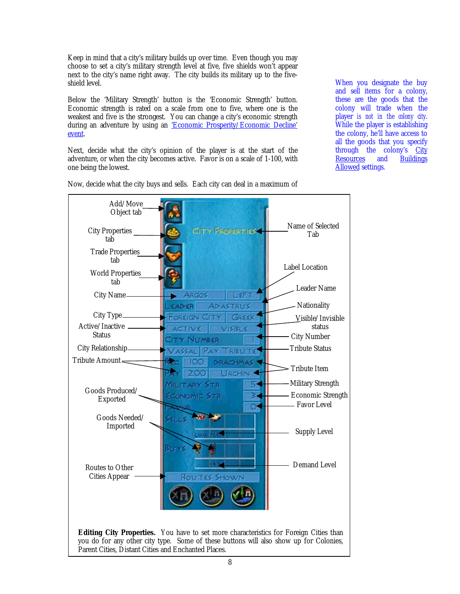Keep in mind that a city's military builds up over time. Even though you may choose to set a city's military strength level at five, five shields won't appear next to the city's name right away. The city builds its military up to the fiveshield level.

Below the 'Military Strength' button is the 'Economic Strength' button. Economic strength is rated on a scale from one to five, where one is the weakest and five is the strongest. You can change a city's economic strength during an adventure by using an ['Economic Prosperity/Economic Decline'](#page-31-0) [event.](#page-31-0)

Next, decide what the city's opinion of the player is at the start of the adventure, or when the city becomes active. Favor is on a scale of 1-100, with one being the lowest.

When you designate the buy and sell items for a colony, these are the goods that the colony will trade when the player *is not in the colony city*. While the player is establishing the colony, he'll have access to all the goods that you specify through the colony's [City](#page-33-0)<br>Resources and Buildings [Resources](#page-33-0) and [Buildings](#page-21-0) **[Allowed se](#page-21-0)ttings.** 



Now, decide what the city buys and sells. Each city can deal in a maximum of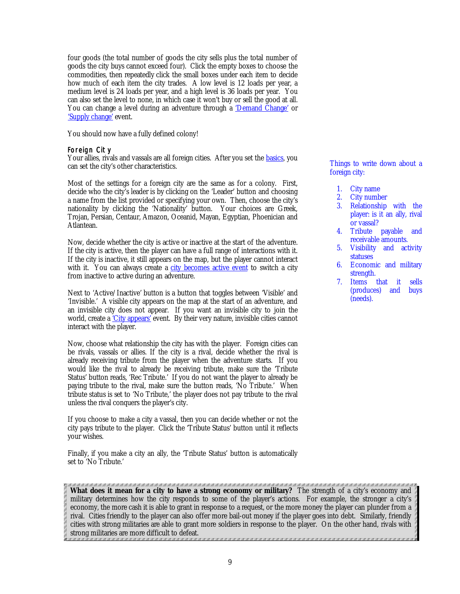<span id="page-8-0"></span>four goods (the total number of goods the city sells plus the total number of goods the city buys cannot exceed four). Click the empty boxes to choose the commodities, then repeatedly click the small boxes under each item to decide how much of each item the city trades. A low level is 12 loads per year, a medium level is 24 loads per year, and a high level is 36 loads per year. You can also set the level to none, in which case it won't buy or sell the good at all. You can change a level during an adventure through a ['Demand Change'](#page-30-0) or ['Supply change' e](#page-30-0)vent.

You should now have a fully defined colony!

#### Foreign City

Your allies, rivals and vassals are all foreign cities. After you set the <u>basics,</u> you can set the city's other characteristics.

Most of the settings for a foreign city are the same as for a colony. First, decide who the city's leader is by clicking on the 'Leader' button and choosing a name from the list provided or specifying your own. Then, choose the city's nationality by clicking the 'Nationality' button. Your choices are Greek, Trojan, Persian, Centaur, Amazon, Oceanid, Mayan, Egyptian, Phoenician and Atlantean.

Now, decide whether the city is active or inactive at the start of the adventure. If the city is active, then the player can have a full range of interactions with it. If the city is inactive, it still appears on the map, but the player cannot interact with it. You can always create a [city becomes active event](#page-32-0) to switch a city from inactive to active during an adventure.

Next to 'Active/Inactive' button is a button that toggles between 'Visible' and 'Invisible.' A visible city appears on the map at the start of an adventure, and an invisible city does not appear. If you want an invisible city to join the world, create a *City appears'* event. By their very nature, invisible cities cannot interact with the player.

Now, choose what relationship the city has with the player. Foreign cities can be rivals, vassals or allies. If the city is a rival, decide whether the rival is already receiving tribute from the player when the adventure starts. If you would like the rival to already be receiving tribute, make sure the 'Tribute Status' button reads, 'Rec Tribute.' If you do not want the player to already be paying tribute to the rival, make sure the button reads, 'No Tribute.' When tribute status is set to 'No Tribute,' the player does not pay tribute to the rival unless the rival conquers the player's city.

If you choose to make a city a vassal, then you can decide whether or not the city pays tribute to the player. Click the 'Tribute Status' button until it reflects your wishes.

Finally, if you make a city an ally, the 'Tribute Status' button is automatically set to 'No Tribute.'

Things to write down about a foreign city:

- 1. City name
- 2. City number
- 3. Relationship with the player: is it an ally, rival or vassal?
- 4. Tribute payable and receivable amounts.
- 5. Visibility and activity statuses
- 6. Economic and military strength.
- 7. Items that it sells (produces) and buys (needs).

000 000 000 000 000 000 000 000 000 000 000 000 000 000 000 000 000 000 000 000 000 000 000 000 000 000 000 00 **What does it mean for a city to have a strong economy or military?** The strength of a city's economy and military determines how the city responds to some of the player's actions. For example, the stronger a city's economy, the more cash it is able to grant in response to a request, or the more money the player can plunder from a rival. Cities friendly to the player can also offer more bail-out money if the player goes into debt. Similarly, friendly cities with strong militaries are able to grant more soldiers in response to the player. On the other hand, rivals with strong militaries are more difficult to defeat.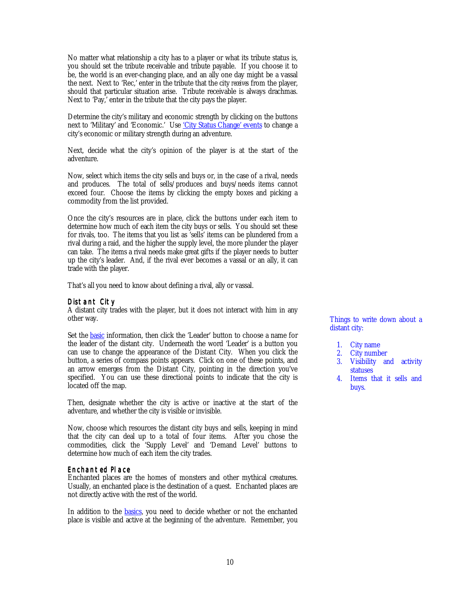<span id="page-9-0"></span>No matter what relationship a city has to a player or what its tribute status is, you should set the tribute receivable and tribute payable. If you choose it to be, the world is an ever-changing place, and an ally one day might be a vassal the next. Next to 'Rec,' enter in the tribute that the city *receives* from the player, should that particular situation arise. Tribute receivable is always drachmas. Next to 'Pay,' enter in the tribute that the city pays the player.

Determine the city's military and economic strength by clicking on the buttons next to 'Military' and 'Economic.' Use ['City Status Change' events](#page-31-0) to change a city's economic or military strength during an adventure.

Next, decide what the city's opinion of the player is at the start of the adventure.

Now, select which items the city sells and buys or, in the case of a rival, needs and produces. The total of sells/produces and buys/needs items cannot exceed four. Choose the items by clicking the empty boxes and picking a commodity from the list provided.

Once the city's resources are in place, click the buttons under each item to determine how much of each item the city buys or sells. You should set these for rivals, too. The items that you list as 'sells' items can be plundered from a rival during a raid, and the higher the supply level, the more plunder the player can take. The items a rival needs make great gifts if the player needs to butter up the city's leader. And, if the rival ever becomes a vassal or an ally, it can trade with the player.

That's all you need to know about defining a rival, ally or vassal.

### Distant City

A distant city trades with the player, but it does not interact with him in any other way.

Set the **basic** information, then click the 'Leader' button to choose a name for the leader of the distant city. Underneath the word 'Leader' is a button you can use to change the appearance of the Distant City. When you click the button, a series of compass points appears. Click on one of these points, and an arrow emerges from the Distant City, pointing in the direction you've specified. You can use these directional points to indicate that the city is located off the map.

Then, designate whether the city is active or inactive at the start of the adventure, and whether the city is visible or invisible.

Now, choose which resources the distant city buys and sells, keeping in mind that the city can deal up to a total of four items. After you chose the commodities, click the 'Supply Level' and 'Demand Level' buttons to determine how much of each item the city trades.

### Enchanted Place

Enchanted places are the homes of monsters and other mythical creatures. Usually, an enchanted place is the destination of a quest. Enchanted places are not directly active with the rest of the world.

In addition to the **basics**, you need to decide whether or not the enchanted place is visible and active at the beginning of the adventure. Remember, you Things to write down about a distant city:

- 1. City name
- 2. City number
- 3. Visibility and activity statuses
- 4. Items that it sells and buys.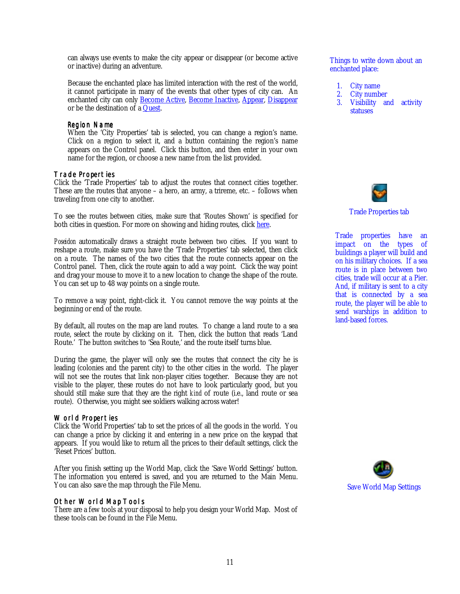<span id="page-10-0"></span>can always use events to make the city appear or disappear (or become active or inactive) during an adventure.

Because the enchanted place has limited interaction with the rest of the world, it cannot participate in many of the events that other types of city can. An enchanted city can only **Become Active**, **Become Inactive**, **Appear**, **Disappear** or be the destination of a [Quest.](#page-27-0)

#### Region Name

When the 'City Properties' tab is selected, you can change a region's name. Click on a region to select it, and a button containing the region's name appears on the Control panel. Click this button, and then enter in your own name for the region, or choose a new name from the list provided.

#### Trade Properties

Click the 'Trade Properties' tab to adjust the routes that connect cities together. These are the routes that anyone – a hero, an army, a trireme, etc. – follows when traveling from one city to another.

To see the routes between cities, make sure that 'Routes Shown' is specified for both cities in question. For more on showing and hiding routes, click [here.](#page-5-0)

*Poseidon* automatically draws a straight route between two cities. If you want to reshape a route, make sure you have the 'Trade Properties' tab selected, then click on a route. The names of the two cities that the route connects appear on the Control panel. Then, click the route again to add a way point. Click the way point and drag your mouse to move it to a new location to change the shape of the route. You can set up to 48 way points on a single route.

To remove a way point, right-click it. You cannot remove the way points at the beginning or end of the route.

By default, all routes on the map are land routes. To change a land route to a sea route, select the route by clicking on it. Then, click the button that reads 'Land Route.' The button switches to 'Sea Route,' and the route itself turns blue.

During the game, the player will only see the routes that connect the city he is leading (colonies and the parent city) to the other cities in the world. The player will not see the routes that link non-player cities together. Because they are not visible to the player, these routes do not have to look particularly good, but you should still make sure that they are the right *kind* of route (i.e., land route or sea route). Otherwise, you might see soldiers walking across water!

#### World Properties

Click the 'World Properties' tab to set the prices of all the goods in the world. You can change a price by clicking it and entering in a new price on the keypad that appears. If you would like to return all the prices to their default settings, click the 'Reset Prices' button.

After you finish setting up the World Map, click the 'Save World Settings' button. The information you entered is saved, and you are returned to the Main Menu. You can also save the map through the File Menu.

### Other World Map Tools

There are a few tools at your disposal to help you design your World Map. Most of these tools can be found in the File Menu.

Things to write down about an enchanted place:

- 1. City name<br>2. City numb
- City number
- 3. Visibility and activity **statuses**



Trade Properties tab

Trade properties have an impact on the types of buildings a player will build and on his military choices. If a sea route is in place between two cities, trade will occur at a Pier. And, if military is sent to a city that is connected by a sea route, the player will be able to send warships in addition to land-based forces.

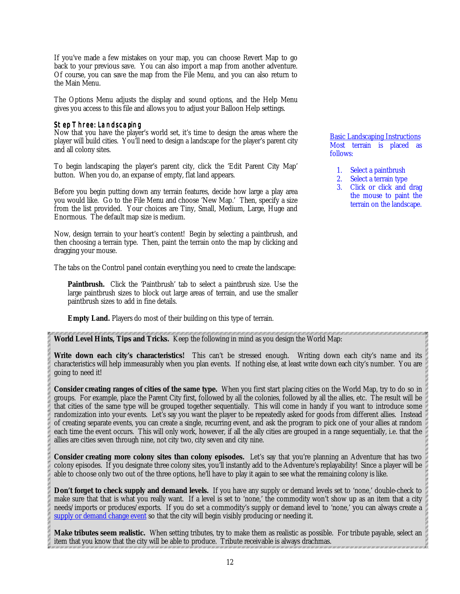<span id="page-11-0"></span>If you've made a few mistakes on your map, you can choose Revert Map to go back to your previous save. You can also import a map from another adventure. Of course, you can save the map from the File Menu, and you can also return to the Main Menu.

The Options Menu adjusts the display and sound options, and the Help Menu gives you access to this file and allows you to adjust your Balloon Help settings.

### Step Three: Landscaping

Now that you have the player's world set, it's time to design the areas where the player will build cities. You'll need to design a landscape for the player's parent city and all colony sites.

To begin landscaping the player's parent city, click the 'Edit Parent City Map' button. When you do, an expanse of empty, flat land appears.

Before you begin putting down any terrain features, decide how large a play area you would like. Go to the File Menu and choose 'New Map.' Then, specify a size from the list provided. Your choices are Tiny, Small, Medium, Large, Huge and Enormous. The default map size is medium.

Now, design terrain to your heart's content! Begin by selecting a paintbrush, and then choosing a terrain type. Then, paint the terrain onto the map by clicking and dragging your mouse.

The tabs on the Control panel contain everything you need to create the landscape:

**Paintbrush.** Click the 'Paintbrush' tab to select a paintbrush size. Use the large paintbrush sizes to block out large areas of terrain, and use the smaller paintbrush sizes to add in fine details.

**Empty Land.** Players do most of their building on this type of terrain.

Basic Landscaping Instructions Most terrain is placed as follows:

- 1. Select a paintbrush
- 2. Select a terrain type
- 3. Click or click and drag the mouse to paint the terrain on the landscape.

**World Level Hints, Tips and Tricks.** Keep the following in mind as you design the World Map:

**Write down each city's characteristics!** This can't be stressed enough. Writing down each city's name and its characteristics will help immeasurably when you plan events. If nothing else, at least write down each city's number. You are going to need it!

**Consider creating ranges of cities of the same type.** When you first start placing cities on the World Map, try to do so in groups. For example, place the Parent City first, followed by all the colonies, followed by all the allies, etc. The result will be that cities of the same type will be grouped together sequentially. This will come in handy if you want to introduce some randomization into your events. Let's say you want the player to be repeatedly asked for goods from different allies. Instead of creating separate events, you can create a single, recurring event, and ask the program to pick one of your allies at random each time the event occurs. This will only work, however, if all the ally cities are grouped in a range sequentially, i.e. that the allies are cities seven through nine, not city two, city seven and city nine.

**Consider creating more colony sites than colony episodes.** Let's say that you're planning an Adventure that has two colony episodes. If you designate three colony sites, you'll instantly add to the Adventure's replayability! Since a player will be able to choose only two out of the three options, he'll have to play it again to see what the remaining colony is like.

**Don't forget to check supply and demand levels.** If you have any supply or demand levels set to 'none,' double-check to make sure that that is what you really want. If a level is set to 'none,' the commodity won't show up as an item that a city needs/imports or produces/exports. If you do set a commodity's supply or demand level to 'none,' you can always create a [supply or demand change event](#page-30-0) so that the city will begin visibly producing or needing it.

**Make tributes seem realistic.** When setting tributes, try to make them as realistic as possible. For tribute payable, select an item that you know that the city will be able to produce. Tribute receivable is always drachmas.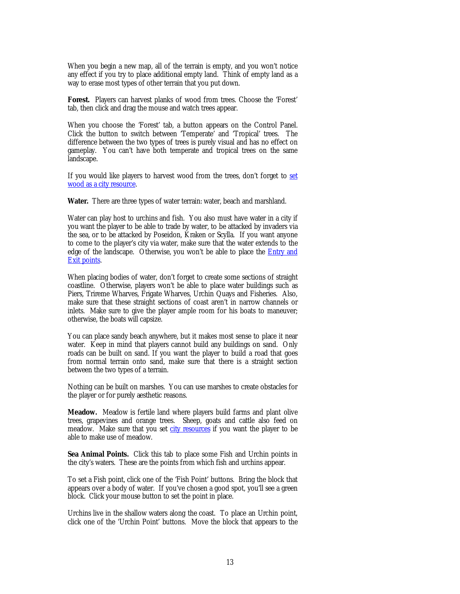<span id="page-12-0"></span>When you begin a new map, all of the terrain is empty, and you won't notice any effect if you try to place additional empty land. Think of empty land as a way to erase most types of other terrain that you put down.

**Forest.** Players can harvest planks of wood from trees. Choose the 'Forest' tab, then click and drag the mouse and watch trees appear.

When you choose the 'Forest' tab, a button appears on the Control Panel. Click the button to switch between 'Temperate' and 'Tropical' trees. The difference between the two types of trees is purely visual and has no effect on gameplay. You can't have both temperate and tropical trees on the same landscape.

If you would like players to harvest wood from the trees, don't forget to [set](#page-33-0) [wood as a city resource.](#page-33-0)

**Water.** There are three types of water terrain: water, beach and marshland.

Water can play host to urchins and fish. You also must have water in a city if you want the player to be able to trade by water, to be attacked by invaders via the sea, or to be attacked by Poseidon, Kraken or Scylla. If you want anyone to come to the player's city via water, make sure that the water extends to the edge of the landscape. Otherwise, you won't be able to place the **[Entry and](#page-17-0)** [Exit points.](#page-17-0)

When placing bodies of water, don't forget to create some sections of straight coastline. Otherwise, players won't be able to place water buildings such as Piers, Trireme Wharves, Frigate Wharves, Urchin Quays and Fisheries. Also, make sure that these straight sections of coast aren't in narrow channels or inlets. Make sure to give the player ample room for his boats to maneuver; otherwise, the boats will capsize.

You can place sandy beach anywhere, but it makes most sense to place it near water. Keep in mind that players cannot build any buildings on sand. Only roads can be built on sand. If you want the player to build a road that goes from normal terrain onto sand, make sure that there is a straight section between the two types of a terrain.

Nothing can be built on marshes. You can use marshes to create obstacles for the player or for purely aesthetic reasons.

**Meadow.** Meadow is fertile land where players build farms and plant olive trees, grapevines and orange trees. Sheep, goats and cattle also feed on meadow. Make sure that you set [city resources](#page-33-0) if you want the player to be able to make use of meadow.

**Sea Animal Points.** Click this tab to place some Fish and Urchin points in the city's waters. These are the points from which fish and urchins appear.

To set a Fish point, click one of the 'Fish Point' buttons. Bring the block that appears over a body of water. If you've chosen a good spot, you'll see a green block. Click your mouse button to set the point in place.

Urchins live in the shallow waters along the coast. To place an Urchin point, click one of the 'Urchin Point' buttons. Move the block that appears to the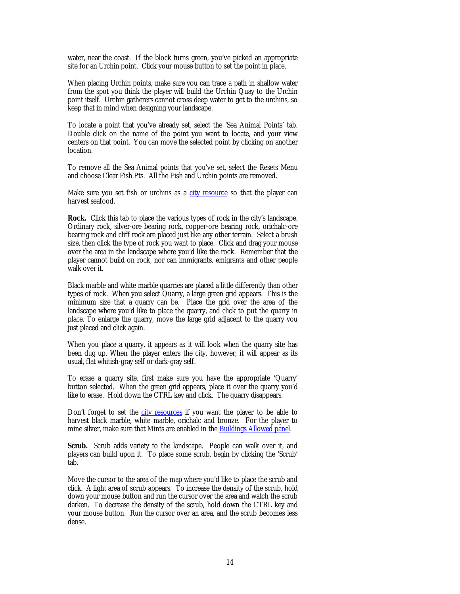<span id="page-13-0"></span>water, near the coast. If the block turns green, you've picked an appropriate site for an Urchin point. Click your mouse button to set the point in place.

When placing Urchin points, make sure you can trace a path in shallow water from the spot you think the player will build the Urchin Quay to the Urchin point itself. Urchin gatherers cannot cross deep water to get to the urchins, so keep that in mind when designing your landscape.

To locate a point that you've already set, select the 'Sea Animal Points' tab. Double click on the name of the point you want to locate, and your view centers on that point. You can move the selected point by clicking on another location.

To remove all the Sea Animal points that you've set, select the Resets Menu and choose Clear Fish Pts. All the Fish and Urchin points are removed.

Make sure you set fish or urchins as a [city resource](#page-33-0) so that the player can harvest seafood.

**Rock.** Click this tab to place the various types of rock in the city's landscape. Ordinary rock, silver-ore bearing rock, copper-ore bearing rock, orichalc-ore bearing rock and cliff rock are placed just like any other terrain. Select a brush size, then click the type of rock you want to place. Click and drag your mouse over the area in the landscape where you'd like the rock. Remember that the player cannot build on rock, nor can immigrants, emigrants and other people walk over it.

Black marble and white marble quarries are placed a little differently than other types of rock. When you select Quarry, a large green grid appears. This is the minimum size that a quarry can be. Place the grid over the area of the landscape where you'd like to place the quarry, and click to put the quarry in place. To enlarge the quarry, move the large grid adjacent to the quarry you just placed and click again.

When you place a quarry, it appears as it will look when the quarry site has been dug up. When the player enters the city, however, it will appear as its usual, flat whitish-gray self or dark-gray self.

To erase a quarry site, first make sure you have the appropriate 'Quarry' button selected. When the green grid appears, place it over the quarry you'd like to erase. Hold down the CTRL key and click. The quarry disappears.

Don't forget to set the [city resources i](#page-33-0)f you want the player to be able to harvest black marble, white marble, orichalc and bronze. For the player to mine silver, make sure that Mints are enabled in the **Buildings Allowed panel**.

Scrub. Scrub adds variety to the landscape. People can walk over it, and players can build upon it. To place some scrub, begin by clicking the 'Scrub' tab.

Move the cursor to the area of the map where you'd like to place the scrub and click. A light area of scrub appears. To increase the density of the scrub, hold down your mouse button and run the cursor over the area and watch the scrub darken. To decrease the density of the scrub, hold down the CTRL key and your mouse button. Run the cursor over an area, and the scrub becomes less dense.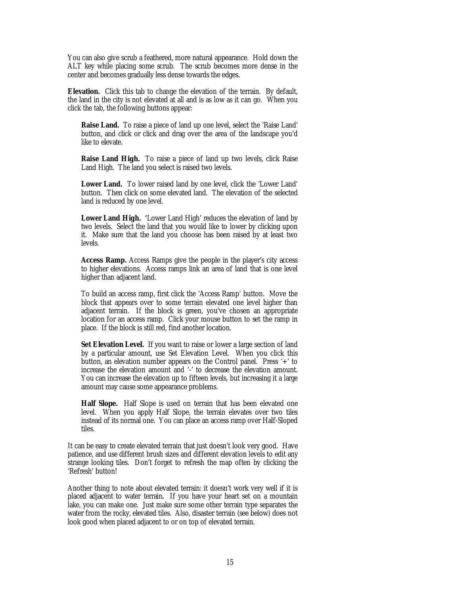You can also give scrub a feathered, more natural appearance. Hold down the ALT key while placing some scrub. The scrub becomes more dense in the center and becomes gradually less dense towards the edges.

**Elevation.** Click this tab to change the elevation of the terrain. By default, the land in the city is not elevated at all and is as low as it can go. When you click the tab, the following buttons appear:

**Raise Land.** To raise a piece of land up one level, select the 'Raise Land' button, and click or click and drag over the area of the landscape you'd like to elevate.

**Raise Land High.** To raise a piece of land up two levels, click Raise Land High. The land you select is raised two levels.

**Lower Land.** To lower raised land by one level, click the 'Lower Land' button. Then click on some elevated land. The elevation of the selected land is reduced by one level.

**Lower Land High. '**Lower Land High' reduces the elevation of land by two levels. Select the land that you would like to lower by clicking upon it. Make sure that the land you choose has been raised by at least two levels.

**Access Ramp.** Access Ramps give the people in the player's city access to higher elevations. Access ramps link an area of land that is one level higher than adjacent land.

To build an access ramp, first click the 'Access Ramp' button. Move the block that appears over to some terrain elevated one level higher than adjacent terrain. If the block is green, you've chosen an appropriate location for an access ramp. Click your mouse button to set the ramp in place. If the block is still red, find another location.

**Set Elevation Level.** If you want to raise or lower a large section of land by a particular amount, use Set Elevation Level. When you click this button, an elevation number appears on the Control panel. Press '+' to increase the elevation amount and '-' to decrease the elevation amount. You can increase the elevation up to fifteen levels, but increasing it a large amount may cause some appearance problems.

**Half Slope.** Half Slope is used on terrain that has been elevated one level. When you apply Half Slope, the terrain elevates over two tiles instead of its normal one. You can place an access ramp over Half-Sloped tiles.

It can be easy to create elevated terrain that just doesn't look very good. Have patience, and use different brush sizes and different elevation levels to edit any strange looking tiles. Don't forget to refresh the map often by clicking the 'Refresh' button!

Another thing to note about elevated terrain: it doesn't work very well if it is placed adjacent to water terrain. If you have your heart set on a mountain lake, you can make one. Just make sure some other terrain type separates the water from the rocky, elevated tiles. Also, disaster terrain (see below) does not look good when placed adjacent to or on top of elevated terrain.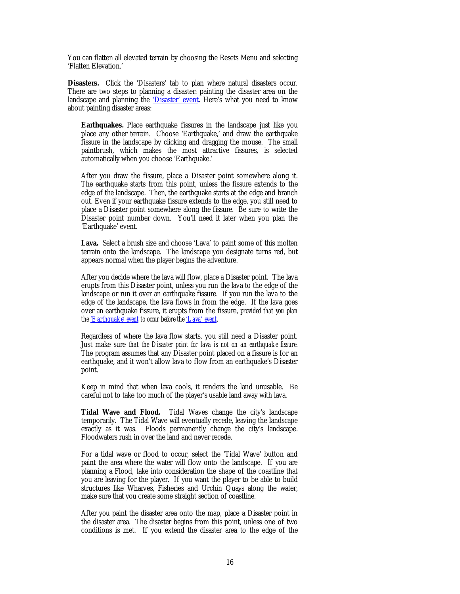You can flatten all elevated terrain by choosing the Resets Menu and selecting 'Flatten Elevation.'

**Disasters.** Click the 'Disasters' tab to plan where natural disasters occur. There are two steps to planning a disaster: painting the disaster area on the landscape and planning the ['Disaster' event.](#page-29-0) Here's what you need to know about painting disaster areas:

**Earthquakes.** Place earthquake fissures in the landscape just like you place any other terrain. Choose 'Earthquake,' and draw the earthquake fissure in the landscape by clicking and dragging the mouse. The small paintbrush, which makes the most attractive fissures, is selected automatically when you choose 'Earthquake.'

After you draw the fissure, place a Disaster point somewhere along it. The earthquake starts from this point, unless the fissure extends to the edge of the landscape. Then, the earthquake starts at the edge and branch out. Even if your earthquake fissure extends to the edge, you still need to place a Disaster point somewhere along the fissure. Be sure to write the Disaster point number down. You'll need it later when you plan the 'Earthquake' event.

Lava. Select a brush size and choose 'Lava' to paint some of this molten terrain onto the landscape. The landscape you designate turns red, but appears normal when the player begins the adventure.

After you decide where the lava will flow, place a Disaster point. The lava erupts from this Disaster point, unless you run the lava to the edge of the landscape or run it over an earthquake fissure. If you run the lava to the edge of the landscape, the lava flows in from the edge. If the lava goes over an earthquake fissure, it erupts from the fissure, *provided that you plan the ['Earthquake' event t](#page-29-0)o occur before the ['Lava' event](#page-29-0)*.

Regardless of where the lava flow starts, you still need a Disaster point. Just make sure *that the Disaster point for lava is not on an earthquake fissure*. The program assumes that any Disaster point placed on a fissure is for an earthquake, and it won't allow lava to flow from an earthquake's Disaster point.

Keep in mind that when lava cools, it renders the land unusable. Be careful not to take too much of the player's usable land away with lava.

**Tidal Wave and Flood.** Tidal Waves change the city's landscape temporarily. The Tidal Wave will eventually recede, leaving the landscape exactly as it was. Floods permanently change the city's landscape. Floodwaters rush in over the land and never recede.

For a tidal wave or flood to occur, select the 'Tidal Wave' button and paint the area where the water will flow onto the landscape. If you are planning a Flood, take into consideration the shape of the coastline that you are leaving for the player. If you want the player to be able to build structures like Wharves, Fisheries and Urchin Quays along the water, make sure that you create some straight section of coastline.

After you paint the disaster area onto the map, place a Disaster point in the disaster area. The disaster begins from this point, unless one of two conditions is met. If you extend the disaster area to the edge of the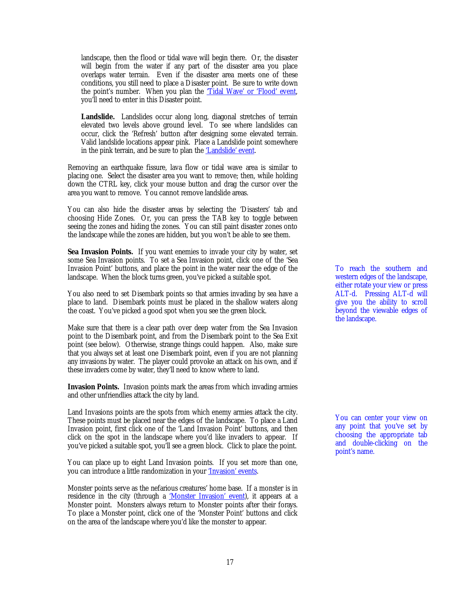<span id="page-16-0"></span>landscape, then the flood or tidal wave will begin there. Or, the disaster will begin from the water if any part of the disaster area you place overlaps water terrain. Even if the disaster area meets one of these conditions, you still need to place a Disaster point. Be sure to write down the point's number. When you plan the ['Tidal Wave' or 'Flood' event,](#page-29-0) you'll need to enter in this Disaster point.

Landslide. Landslides occur along long, diagonal stretches of terrain elevated two levels above ground level. To see where landslides can occur, click the 'Refresh' button after designing some elevated terrain. Valid landslide locations appear pink. Place a Landslide point somewhere in the pink terrain, and be sure to plan the ['Landslide' event.](#page-29-0)

Removing an earthquake fissure, lava flow or tidal wave area is similar to placing one. Select the disaster area you want to remove; then, while holding down the CTRL key, click your mouse button and drag the cursor over the area you want to remove. You cannot remove landslide areas.

You can also hide the disaster areas by selecting the 'Disasters' tab and choosing Hide Zones. Or, you can press the TAB key to toggle between seeing the zones and hiding the zones. You can still paint disaster zones onto the landscape while the zones are hidden, but you won't be able to see them.

**Sea Invasion Points.** If you want enemies to invade your city by water, set some Sea Invasion points. To set a Sea Invasion point, click one of the 'Sea Invasion Point' buttons, and place the point in the water near the edge of the landscape. When the block turns green, you've picked a suitable spot.

You also need to set Disembark points so that armies invading by sea have a place to land. Disembark points must be placed in the shallow waters along the coast. You've picked a good spot when you see the green block.

Make sure that there is a clear path over deep water from the Sea Invasion point to the Disembark point, and from the Disembark point to the Sea Exit point (see below). Otherwise, strange things could happen. Also, make sure that you always set at least one Disembark point, even if you are not planning any invasions by water. The player could provoke an attack on his own, and if these invaders come by water, they'll need to know where to land.

**Invasion Points.** Invasion points mark the areas from which invading armies and other unfriendlies attack the city by land.

Land Invasions points are the spots from which enemy armies attack the city. These points must be placed near the edges of the landscape. To place a Land Invasion point, first click one of the 'Land Invasion Point' buttons, and then click on the spot in the landscape where you'd like invaders to appear. If you've picked a suitable spot, you'll see a green block. Click to place the point.

You can place up to eight Land Invasion points. If you set more than one, you can introduce a little randomization in your ['Invasion' events.](#page-26-0)

Monster points serve as the nefarious creatures' home base. If a monster is in residence in the city (through a ['Monster Invasion' event\),](#page-28-0) it appears at a Monster point. Monsters always return to Monster points after their forays. To place a Monster point, click one of the 'Monster Point' buttons and click on the area of the landscape where you'd like the monster to appear.

To reach the southern and western edges of the landscape, either rotate your view or press ALT-d. Pressing ALT-d will give you the ability to scroll beyond the viewable edges of the landscape.

You can center your view on any point that you've set by choosing the appropriate tab and double-clicking on the point's name.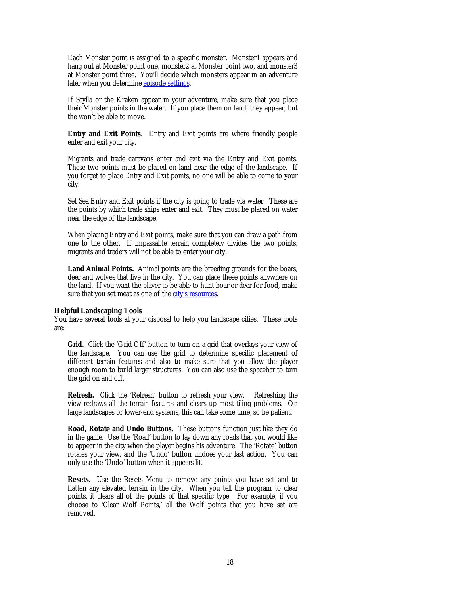<span id="page-17-0"></span>Each Monster point is assigned to a specific monster. Monster1 appears and hang out at Monster point one, monster2 at Monster point two, and monster3 at Monster point three. You'll decide which monsters appear in an adventure later when you determine **episode settings**.

If Scylla or the Kraken appear in your adventure, make sure that you place their Monster points in the water. If you place them on land, they appear, but the won't be able to move.

**Entry and Exit Points.** Entry and Exit points are where friendly people enter and exit your city.

Migrants and trade caravans enter and exit via the Entry and Exit points. These two points must be placed on land near the edge of the landscape. If you forget to place Entry and Exit points, no one will be able to come to your city.

Set Sea Entry and Exit points if the city is going to trade via water. These are the points by which trade ships enter and exit. They must be placed on water near the edge of the landscape.

When placing Entry and Exit points, make sure that you can draw a path from one to the other. If impassable terrain completely divides the two points, migrants and traders will not be able to enter your city.

**Land Animal Points.** Animal points are the breeding grounds for the boars, deer and wolves that live in the city. You can place these points anywhere on the land. If you want the player to be able to hunt boar or deer for food, make sure that you set meat as one of the [city's resources.](#page-33-0)

#### **Helpful Landscaping Tools**

You have several tools at your disposal to help you landscape cities. These tools are:

Grid. Click the 'Grid Off' button to turn on a grid that overlays your view of the landscape. You can use the grid to determine specific placement of different terrain features and also to make sure that you allow the player enough room to build larger structures. You can also use the spacebar to turn the grid on and off.

**Refresh.** Click the 'Refresh' button to refresh your view. Refreshing the view redraws all the terrain features and clears up most tiling problems. On large landscapes or lower-end systems, this can take some time, so be patient.

**Road, Rotate and Undo Buttons.** These buttons function just like they do in the game. Use the 'Road' button to lay down any roads that you would like to appear in the city when the player begins his adventure. The 'Rotate' button rotates your view, and the 'Undo' button undoes your last action. You can only use the 'Undo' button when it appears lit.

**Resets.** Use the Resets Menu to remove any points you have set and to flatten any elevated terrain in the city. When you tell the program to clear points, it clears all of the points of that specific type. For example, if you choose to 'Clear Wolf Points,' all the Wolf points that you have set are removed.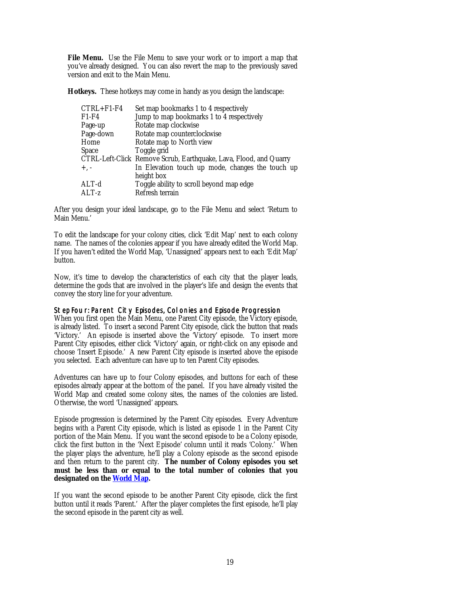<span id="page-18-0"></span>**File Menu.** Use the File Menu to save your work or to import a map that you've already designed. You can also revert the map to the previously saved version and exit to the Main Menu.

**Hotkeys.** These hotkeys may come in handy as you design the landscape:

| Set map bookmarks 1 to 4 respectively                             |
|-------------------------------------------------------------------|
| Jump to map bookmarks 1 to 4 respectively                         |
| Rotate map clockwise                                              |
| Rotate map counterclockwise                                       |
| Rotate map to North view                                          |
| Toggle grid                                                       |
| CTRL-Left-Click Remove Scrub, Earthquake, Lava, Flood, and Quarry |
| In Elevation touch up mode, changes the touch up                  |
| height box                                                        |
| Toggle ability to scroll beyond map edge                          |
| Refresh terrain                                                   |
|                                                                   |

After you design your ideal landscape, go to the File Menu and select 'Return to Main Menu.'

To edit the landscape for your colony cities, click 'Edit Map' next to each colony name. The names of the colonies appear if you have already edited the World Map. If you haven't edited the World Map, 'Unassigned' appears next to each 'Edit Map' button.

Now, it's time to develop the characteristics of each city that the player leads, determine the gods that are involved in the player's life and design the events that convey the story line for your adventure.

### Step Four: Parent City Episodes, Colonies and Episode Progression

When you first open the Main Menu, one Parent City episode, the Victory episode, is already listed. To insert a second Parent City episode, click the button that reads 'Victory.' An episode is inserted above the 'Victory' episode. To insert more Parent City episodes, either click 'Victory' again, or right-click on any episode and choose 'Insert Episode.' A new Parent City episode is inserted above the episode you selected. Each adventure can have up to ten Parent City episodes.

Adventures can have up to four Colony episodes, and buttons for each of these episodes already appear at the bottom of the panel. If you have already visited the World Map and created some colony sites, the names of the colonies are listed. Otherwise, the word 'Unassigned' appears.

Episode progression is determined by the Parent City episodes. Every Adventure begins with a Parent City episode, which is listed as episode 1 in the Parent City portion of the Main Menu. If you want the second episode to be a Colony episode, click the first button in the 'Next Episode' column until it reads 'Colony.' When the player plays the adventure, he'll play a Colony episode as the second episode and then return to the parent city. **The number of Colony episodes you set must be less than or equal to the total number of colonies that you designated on the [World Map.](#page-4-0)**

If you want the second episode to be another Parent City episode, click the first button until it reads 'Parent.' After the player completes the first episode, he'll play the second episode in the parent city as well.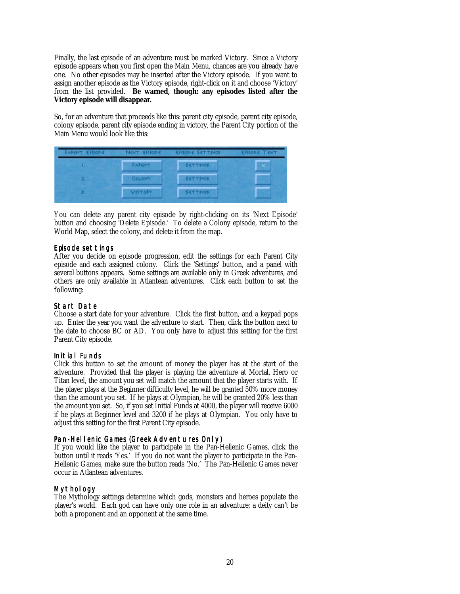<span id="page-19-0"></span>Finally, the last episode of an adventure must be marked Victory. Since a Victory episode appears when you first open the Main Menu, chances are you already have one. No other episodes may be inserted after the Victory episode. If you want to assign another episode as the Victory episode, right-click on it and choose 'Victory' from the list provided. **Be warned, though: any episodes listed after the Victory episode will disappear.**

So, for an adventure that proceeds like this: parent city episode, parent city episode, colony episode, parent city episode ending in victory, the Parent City portion of the Main Menu would look like this:

| <b>PARCNT EFISODE</b> | NOCT EFISOPIC | <b>EFISOP C SETTINGS</b> | <b>KRISOR C TIDOT</b> |
|-----------------------|---------------|--------------------------|-----------------------|
|                       | <b>PARINT</b> | SETTINGS.                | ger i                 |
|                       | <b>COLONY</b> | <b>SETTINGS</b>          |                       |
|                       | VICTORY.      | <b>SETTINGS</b>          |                       |

You can delete any parent city episode by right-clicking on its 'Next Episode' button and choosing 'Delete Episode.' To delete a Colony episode, return to the World Map, select the colony, and delete it from the map.

## Episode settings

After you decide on episode progression, edit the settings for each Parent City episode and each assigned colony. Click the 'Settings' button, and a panel with several buttons appears. Some settings are available only in Greek adventures, and others are only available in Atlantean adventures. Click each button to set the following:

### Start Date

Choose a start date for your adventure. Click the first button, and a keypad pops up. Enter the year you want the adventure to start. Then, click the button next to the date to choose BC or AD. You only have to adjust this setting for the first Parent City episode.

### Initial Funds

Click this button to set the amount of money the player has at the start of the adventure. Provided that the player is playing the adventure at Mortal, Hero or Titan level, the amount you set will match the amount that the player starts with. If the player plays at the Beginner difficulty level, he will be granted 50% more money than the amount you set. If he plays at Olympian, he will be granted 20% less than the amount you set. So, if you set Initial Funds at 4000, the player will receive 6000 if he plays at Beginner level and 3200 if he plays at Olympian. You only have to adjust this setting for the first Parent City episode.

## Pan-Hellenic Games (Greek Adventures Only)

If you would like the player to participate in the Pan-Hellenic Games, click the button until it reads 'Yes.' If you do not want the player to participate in the Pan-Hellenic Games, make sure the button reads 'No.' The Pan-Hellenic Games never occur in Atlantean adventures.

## Mythology

The Mythology settings determine which gods, monsters and heroes populate the player's world. Each god can have only one role in an adventure; a deity can't be both a proponent and an opponent at the same time.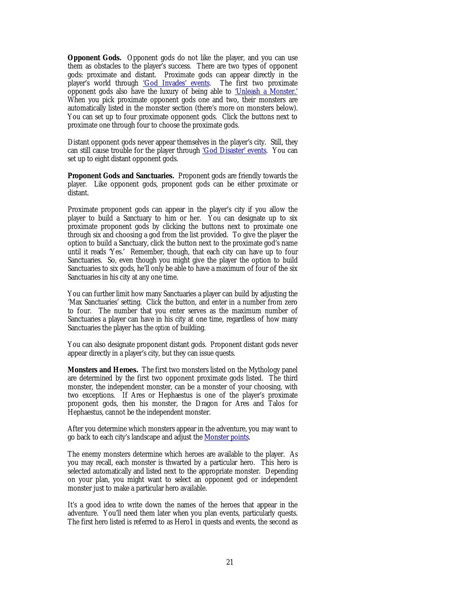<span id="page-20-0"></span>**Opponent Gods.** Opponent gods do not like the player, and you can use them as obstacles to the player's success. There are two types of opponent gods: proximate and distant. Proximate gods can appear directly in the player's world through ['God Invades' events.](#page-29-0) The first two proximate opponent gods also have the luxury of being able to ['Unleash a Monster.'](#page-28-0) When you pick proximate opponent gods one and two, their monsters are automatically listed in the monster section (there's more on monsters below). You can set up to four proximate opponent gods. Click the buttons next to proximate one through four to choose the proximate gods.

Distant opponent gods never appear themselves in the player's city. Still, they can still cause trouble for the player through ['God Disaster' events.](#page-31-0) You can set up to eight distant opponent gods.

**Proponent Gods and Sanctuaries.** Proponent gods are friendly towards the player. Like opponent gods, proponent gods can be either proximate or distant.

Proximate proponent gods can appear in the player's city if you allow the player to build a Sanctuary to him or her. You can designate up to six proximate proponent gods by clicking the buttons next to proximate one through six and choosing a god from the list provided. To give the player the option to build a Sanctuary, click the button next to the proximate god's name until it reads 'Yes.' Remember, though, that each city can have up to four Sanctuaries. So, even though you might give the player the option to build Sanctuaries to six gods, he'll only be able to have a maximum of four of the six Sanctuaries in his city at any one time.

You can further limit how many Sanctuaries a player can build by adjusting the 'Max Sanctuaries' setting. Click the button, and enter in a number from zero to four. The number that you enter serves as the maximum number of Sanctuaries a player can have in his city at one time, regardless of how many Sanctuaries the player has the *option* of building.

You can also designate proponent distant gods. Proponent distant gods never appear directly in a player's city, but they can issue quests.

**Monsters and Heroes.** The first two monsters listed on the Mythology panel are determined by the first two opponent proximate gods listed. The third monster, the independent monster, can be a monster of your choosing, with two exceptions. If Ares or Hephaestus is one of the player's proximate proponent gods, then his monster, the Dragon for Ares and Talos for Hephaestus, cannot be the independent monster.

After you determine which monsters appear in the adventure, you may want to go back to each city's landscape and adjust the **Monster points**.

The enemy monsters determine which heroes are available to the player. As you may recall, each monster is thwarted by a particular hero. This hero is selected automatically and listed next to the appropriate monster. Depending on your plan, you might want to select an opponent god or independent monster just to make a particular hero available.

It's a good idea to write down the names of the heroes that appear in the adventure. You'll need them later when you plan events, particularly quests. The first hero listed is referred to as Hero1 in quests and events, the second as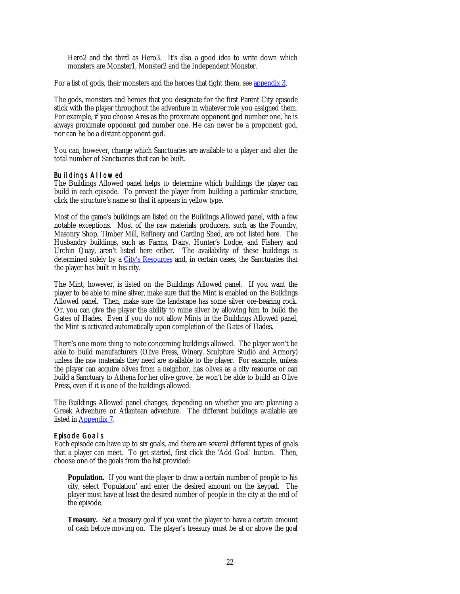<span id="page-21-0"></span>Hero2 and the third as Hero3. It's also a good idea to write down which monsters are Monster1, Monster2 and the Independent Monster.

For a list of gods, their monsters and the heroes that fight them, see [appendix 3.](#page-47-0)

The gods, monsters and heroes that you designate for the first Parent City episode stick with the player throughout the adventure in whatever role you assigned them. For example, if you choose Ares as the proximate opponent god number one, he is always proximate opponent god number one. He can never be a proponent god, nor can he be a distant opponent god.

You can, however, change which Sanctuaries are available to a player and alter the total number of Sanctuaries that can be built.

#### Buildings Allowed

The Buildings Allowed panel helps to determine which buildings the player can build in each episode. To prevent the player from building a particular structure, click the structure's name so that it appears in yellow type.

Most of the game's buildings are listed on the Buildings Allowed panel, with a few notable exceptions. Most of the raw materials producers, such as the Foundry, Masonry Shop, Timber Mill, Refinery and Carding Shed, are not listed here. The Husbandry buildings, such as Farms, Dairy, Hunter's Lodge, and Fishery and Urchin Quay, aren't listed here either. The availability of these buildings is determined solely by a [City's Resources](#page-33-0) and, in certain cases, the Sanctuaries that the player has built in his city.

The Mint, however, is listed on the Buildings Allowed panel. If you want the player to be able to mine silver, make sure that the Mint is enabled on the Buildings Allowed panel. Then, make sure the landscape has some silver ore-bearing rock. Or, you can give the player the ability to mine silver by allowing him to build the Gates of Hades. Even if you do not allow Mints in the Buildings Allowed panel, the Mint is activated automatically upon completion of the Gates of Hades.

There's one more thing to note concerning buildings allowed. The player won't be able to build manufacturers (Olive Press, Winery, Sculpture Studio and Armory) unless the raw materials they need are available to the player. For example, unless the player can acquire olives from a neighbor, has olives as a city resource or can build a Sanctuary to Athena for her olive grove, he won't be able to build an Olive Press, even if it is one of the buildings allowed.

The Buildings Allowed panel changes, depending on whether you are planning a Greek Adventure or Atlantean adventure. The different buildings available are listed in [Appendix 7.](#page-51-0)

#### Episode Goals

Each episode can have up to six goals, and there are several different types of goals that a player can meet. To get started, first click the 'Add Goal' button. Then, choose one of the goals from the list provided:

**Population.** If you want the player to draw a certain number of people to his city, select 'Population' and enter the desired amount on the keypad. The player must have at least the desired number of people in the city at the end of the episode.

**Treasury.** Set a treasury goal if you want the player to have a certain amount of cash before moving on. The player's treasury must be at or above the goal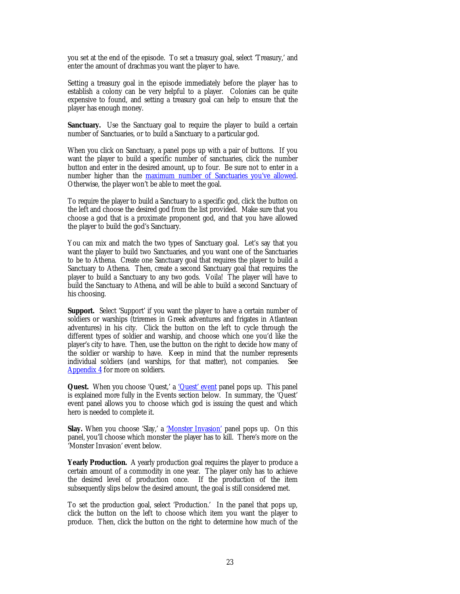<span id="page-22-0"></span>you set at the end of the episode. To set a treasury goal, select 'Treasury,' and enter the amount of drachmas you want the player to have.

Setting a treasury goal in the episode immediately before the player has to establish a colony can be very helpful to a player. Colonies can be quite expensive to found, and setting a treasury goal can help to ensure that the player has enough money.

**Sanctuary.** Use the Sanctuary goal to require the player to build a certain number of Sanctuaries, or to build a Sanctuary to a particular god.

When you click on Sanctuary, a panel pops up with a pair of buttons. If you want the player to build a specific number of sanctuaries, click the number button and enter in the desired amount, up to four. Be sure not to enter in a number higher than the [maximum number of Sanctuaries you've allowed.](#page-19-0) Otherwise, the player won't be able to meet the goal.

To require the player to build a Sanctuary to a specific god, click the button on the left and choose the desired god from the list provided. Make sure that you choose a god that is a proximate proponent god, and that you have allowed the player to build the god's Sanctuary.

You can mix and match the two types of Sanctuary goal. Let's say that you want the player to build two Sanctuaries, and you want one of the Sanctuaries to be to Athena. Create one Sanctuary goal that requires the player to build a Sanctuary to Athena. Then, create a second Sanctuary goal that requires the player to build a Sanctuary to any two gods. Voila! The player will have to build the Sanctuary to Athena, and will be able to build a second Sanctuary of his choosing.

**Support.** Select 'Support' if you want the player to have a certain number of soldiers or warships (triremes in Greek adventures and frigates in Atlantean adventures) in his city. Click the button on the left to cycle through the different types of soldier and warship, and choose which one you'd like the player's city to have. Then, use the button on the right to decide how many of the soldier or warship to have. Keep in mind that the number represents individual soldiers (and warships, for that matter), not companies. See [Appendix 4 f](#page-48-0)or more on soldiers.

**Quest.** When you choose 'Quest,' a '*Quest'* event panel pops up. This panel is explained more fully in the Events section below. In summary, the 'Quest' event panel allows you to choose which god is issuing the quest and which hero is needed to complete it.

Slay. When you choose 'Slay,' a ['Monster Invasion'](#page-28-0) panel pops up. On this panel, you'll choose which monster the player has to kill. There's more on the 'Monster Invasion' event below.

**Yearly Production.** A yearly production goal requires the player to produce a certain amount of a commodity in one year. The player only has to achieve the desired level of production once. If the production of the item subsequently slips below the desired amount, the goal is still considered met.

To set the production goal, select 'Production.' In the panel that pops up, click the button on the left to choose which item you want the player to produce. Then, click the button on the right to determine how much of the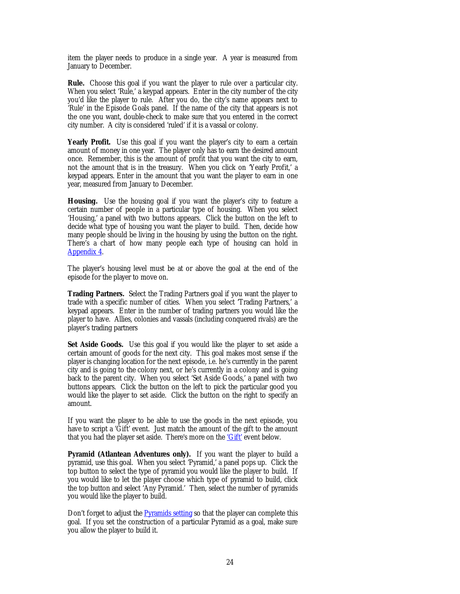item the player needs to produce in a single year. A year is measured from January to December.

**Rule.** Choose this goal if you want the player to rule over a particular city. When you select 'Rule,' a keypad appears. Enter in the city number of the city you'd like the player to rule. After you do, the city's name appears next to 'Rule' in the Episode Goals panel. If the name of the city that appears is not the one you want, double-check to make sure that you entered in the correct city number. A city is considered 'ruled' if it is a vassal or colony.

**Yearly Profit.** Use this goal if you want the player's city to earn a certain amount of money in one year. The player only has to earn the desired amount once. Remember, this is the amount of profit that you want the city to earn, not the amount that is in the treasury. When you click on 'Yearly Profit,' a keypad appears. Enter in the amount that you want the player to earn in one year, measured from January to December.

**Housing.** Use the housing goal if you want the player's city to feature a certain number of people in a particular type of housing. When you select 'Housing,' a panel with two buttons appears. Click the button on the left to decide what type of housing you want the player to build. Then, decide how many people should be living in the housing by using the button on the right. There's a chart of how many people each type of housing can hold in [Appendix 4.](#page-48-0)

The player's housing level must be at or above the goal at the end of the episode for the player to move on.

**Trading Partners.** Select the Trading Partners goal if you want the player to trade with a specific number of cities. When you select 'Trading Partners,' a keypad appears. Enter in the number of trading partners you would like the player to have. Allies, colonies and vassals (including conquered rivals) are the player's trading partners

Set Aside Goods. Use this goal if you would like the player to set aside a certain amount of goods for the next city. This goal makes most sense if the player is changing location for the next episode, i.e. he's currently in the parent city and is going to the colony next, or he's currently in a colony and is going back to the parent city. When you select 'Set Aside Goods,' a panel with two buttons appears. Click the button on the left to pick the particular good you would like the player to set aside. Click the button on the right to specify an amount.

If you want the player to be able to use the goods in the next episode, you have to script a 'Gift' event. Just match the amount of the gift to the amount that you had the player set aside. There's more on the ['Gift'](#page-27-0) event below.

**Pyramid (Atlantean Adventures only).** If you want the player to build a pyramid, use this goal. When you select 'Pyramid,' a panel pops up. Click the top button to select the type of pyramid you would like the player to build. If you would like to let the player choose which type of pyramid to build, click the top button and select 'Any Pyramid.' Then, select the number of pyramids you would like the player to build.

Don't forget to adjust the [Pyramids setting](#page-34-0) so that the player can complete this goal. If you set the construction of a particular Pyramid as a goal, make sure you allow the player to build it.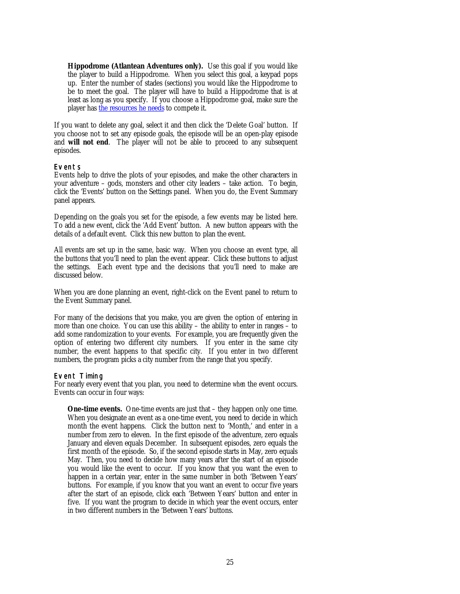<span id="page-24-0"></span>**Hippodrome (Atlantean Adventures only).** Use this goal if you would like the player to build a Hippodrome. When you select this goal, a keypad pops up. Enter the number of stades (sections) you would like the Hippodrome to be to meet the goal. The player will have to build a Hippodrome that is at least as long as you specify. If you choose a Hippodrome goal, make sure the player has [the resources he needs t](#page-44-0)o compete it.

If you want to delete any goal, select it and then click the 'Delete Goal' button. If you choose not to set any episode goals, the episode will be an open-play episode and **will not end**. The player will not be able to proceed to any subsequent episodes.

### Events

Events help to drive the plots of your episodes, and make the other characters in your adventure – gods, monsters and other city leaders – take action. To begin, click the 'Events' button on the Settings panel. When you do, the Event Summary panel appears.

Depending on the goals you set for the episode, a few events may be listed here. To add a new event, click the 'Add Event' button. A new button appears with the details of a default event. Click this new button to plan the event.

All events are set up in the same, basic way. When you choose an event type, all the buttons that you'll need to plan the event appear. Click these buttons to adjust the settings. Each event type and the decisions that you'll need to make are discussed below.

When you are done planning an event, right-click on the Event panel to return to the Event Summary panel.

For many of the decisions that you make, you are given the option of entering in more than one choice. You can use this ability – the ability to enter in ranges – to add some randomization to your events. For example, you are frequently given the option of entering two different city numbers. If you enter in the same city number, the event happens to that specific city. If you enter in two different numbers, the program picks a city number from the range that you specify.

### Event Timing

For nearly every event that you plan, you need to determine *when* the event occurs. Events can occur in four ways:

**One-time events.** One-time events are just that – they happen only one time. When you designate an event as a one-time event, you need to decide in which month the event happens. Click the button next to 'Month,' and enter in a number from zero to eleven. In the first episode of the adventure, zero equals January and eleven equals December. In subsequent episodes, zero equals the first month of the episode. So, if the second episode starts in May, zero equals May. Then, you need to decide how many years after the start of an episode you would like the event to occur. If you know that you want the even to happen in a certain year, enter in the same number in both 'Between Years' buttons. For example, if you know that you want an event to occur five years after the start of an episode, click each 'Between Years' button and enter in five. If you want the program to decide in which year the event occurs, enter in two different numbers in the 'Between Years' buttons.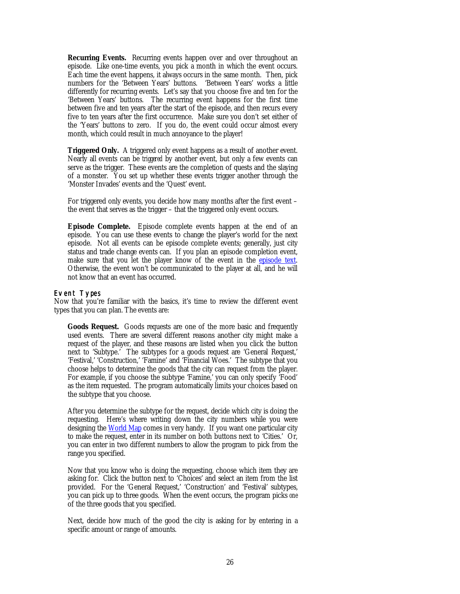<span id="page-25-0"></span>**Recurring Events.** Recurring events happen over and over throughout an episode. Like one-time events, you pick a month in which the event occurs. Each time the event happens, it always occurs in the same month. Then, pick numbers for the 'Between Years' buttons. 'Between Years' works a little differently for recurring events. Let's say that you choose five and ten for the 'Between Years' buttons. The recurring event happens for the first time between five and ten years after the start of the episode, and then recurs every five to ten years after the first occurrence. Make sure you don't set either of the 'Years' buttons to zero. If you do, the event could occur almost every month, which could result in much annoyance to the player!

**Triggered Only.** A triggered only event happens as a result of another event. Nearly all events can be *triggered* by another event, but only a few events can serve as the trigger. These events are the completion of quests and the slaying of a monster. You set up whether these events trigger another through the 'Monster Invades' events and the 'Quest' event.

For triggered only events, you decide how many months after the first event – the event that serves as the trigger – that the triggered only event occurs.

**Episode Complete.** Episode complete events happen at the end of an episode. You can use these events to change the player's world for the next episode. Not all events can be episode complete events; generally, just city status and trade change events can. If you plan an episode completion event, make sure that you let the player know of the event in the **episode text**. Otherwise, the event won't be communicated to the player at all, and he will not know that an event has occurred.

### Event Types

Now that you're familiar with the basics, it's time to review the different event types that you can plan. The events are:

**Goods Request.** Goods requests are one of the more basic and frequently used events. There are several different reasons another city might make a request of the player, and these reasons are listed when you click the button next to 'Subtype.' The subtypes for a goods request are 'General Request,' 'Festival,' 'Construction,' 'Famine' and 'Financial Woes.' The subtype that you choose helps to determine the goods that the city can request from the player. For example, if you choose the subtype 'Famine,' you can only specify 'Food' as the item requested. The program automatically limits your choices based on the subtype that you choose.

After you determine the subtype for the request, decide which city is doing the requesting. Here's where writing down the city numbers while you were designing the [World Map](#page-4-0) comes in very handy. If you want one particular city to make the request, enter in its number on both buttons next to 'Cities.' Or, you can enter in two different numbers to allow the program to pick from the range you specified.

Now that you know who is doing the requesting, choose which item they are asking for. Click the button next to 'Choices' and select an item from the list provided. For the 'General Request,' 'Construction' and 'Festival' subtypes, you can pick up to three goods. When the event occurs, the program picks *one* of the three goods that you specified.

Next, decide how much of the good the city is asking for by entering in a specific amount or range of amounts.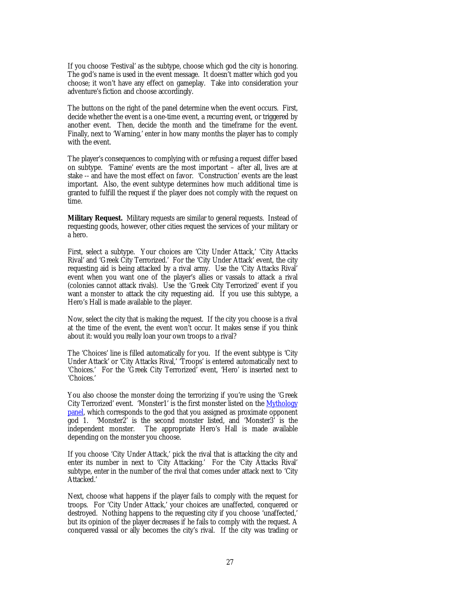<span id="page-26-0"></span>If you choose 'Festival' as the subtype, choose which god the city is honoring. The god's name is used in the event message. It doesn't matter which god you choose; it won't have any effect on gameplay. Take into consideration your adventure's fiction and choose accordingly.

The buttons on the right of the panel determine when the event occurs. First, decide whether the event is a one-time event, a recurring event, or triggered by another event. Then, decide the month and the timeframe for the event. Finally, next to 'Warning,' enter in how many months the player has to comply with the event.

The player's consequences to complying with or refusing a request differ based on subtype. 'Famine' events are the most important – after all, lives are at stake -- and have the most effect on favor. 'Construction' events are the least important. Also, the event subtype determines how much additional time is granted to fulfill the request if the player does not comply with the request on time.

**Military Request.** Military requests are similar to general requests. Instead of requesting goods, however, other cities request the services of your military or a hero.

First, select a subtype. Your choices are 'City Under Attack,' 'City Attacks Rival' and 'Greek City Terrorized.' For the 'City Under Attack' event, the city requesting aid is being attacked by a rival army. Use the 'City Attacks Rival' event when you want one of the player's allies or vassals to attack a rival (colonies cannot attack rivals). Use the 'Greek City Terrorized' event if you want a monster to attack the city requesting aid. If you use this subtype, a Hero's Hall is made available to the player.

Now, select the city that is making the request. If the city you choose is a rival at the time of the event, the event won't occur. It makes sense if you think about it: would you really loan your own troops to a rival?

The 'Choices' line is filled automatically for you. If the event subtype is 'City Under Attack' or 'City Attacks Rival,' 'Troops' is entered automatically next to 'Choices.' For the 'Greek City Terrorized' event, 'Hero' is inserted next to 'Choices.'

You also choose the monster doing the terrorizing if you're using the 'Greek City Terrorized' event. 'Monster1' is the first monster listed on the [Mythology](#page-19-0) [panel, w](#page-19-0)hich corresponds to the god that you assigned as proximate opponent god 1. 'Monster2' is the second monster listed, and 'Monster3<sup>3</sup> is the independent monster. The appropriate Hero's Hall is made available The appropriate Hero's Hall is made available depending on the monster you choose.

If you choose 'City Under Attack,' pick the rival that is attacking the city and enter its number in next to 'City Attacking.' For the 'City Attacks Rival' subtype, enter in the number of the rival that comes under attack next to 'City Attacked.'

Next, choose what happens if the player fails to comply with the request for troops. For 'City Under Attack,' your choices are unaffected, conquered or destroyed. Nothing happens to the requesting city if you choose 'unaffected,' but its opinion of the player decreases if he fails to comply with the request. A conquered vassal or ally becomes the city's rival. If the city was trading or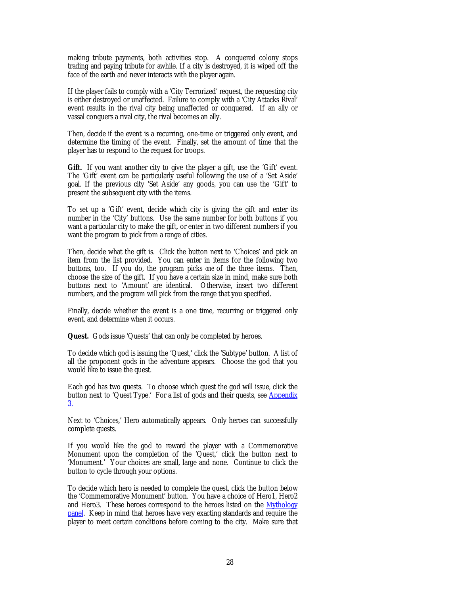<span id="page-27-0"></span>making tribute payments, both activities stop. A conquered colony stops trading and paying tribute for awhile. If a city is destroyed, it is wiped off the face of the earth and never interacts with the player again.

If the player fails to comply with a 'City Terrorized' request, the requesting city is either destroyed or unaffected. Failure to comply with a 'City Attacks Rival' event results in the rival city being unaffected or conquered. If an ally or vassal conquers a rival city, the rival becomes an ally.

Then, decide if the event is a recurring, one-time or triggered only event, and determine the timing of the event. Finally, set the amount of time that the player has to respond to the request for troops.

**Gift.** If you want another city to give the player a gift, use the 'Gift' event. The 'Gift' event can be particularly useful following the use of a 'Set Aside' goal. If the previous city 'Set Aside' any goods, you can use the 'Gift' to present the subsequent city with the items.

To set up a 'Gift' event, decide which city is giving the gift and enter its number in the 'City' buttons. Use the same number for both buttons if you want a particular city to make the gift, or enter in two different numbers if you want the program to pick from a range of cities.

Then, decide what the gift is. Click the button next to 'Choices' and pick an item from the list provided. You can enter in items for the following two buttons, too. If you do, the program picks *one* of the three items. Then, choose the size of the gift. If you have a certain size in mind, make sure both buttons next to 'Amount' are identical. Otherwise, insert two different numbers, and the program will pick from the range that you specified.

Finally, decide whether the event is a one time, recurring or triggered only event, and determine when it occurs.

**Quest.** Gods issue 'Quests' that can only be completed by heroes.

To decide which god is issuing the 'Quest,' click the 'Subtype' button. A list of all the proponent gods in the adventure appears. Choose the god that you would like to issue the quest.

Each god has two quests. To choose which quest the god will issue, click the button next to 'Quest Type.' For a list of gods and their quests, see **Appendix** [3.](#page-47-0)

Next to 'Choices,' Hero automatically appears. Only heroes can successfully complete quests.

If you would like the god to reward the player with a Commemorative Monument upon the completion of the 'Quest,' click the button next to 'Monument.' Your choices are small, large and none. Continue to click the button to cycle through your options.

To decide which hero is needed to complete the quest, click the button below the 'Commemorative Monument' button. You have a choice of Hero1, Hero2 and Hero3. These heroes correspond to the heroes listed on the [Mythology](#page-19-0) [panel.](#page-19-0) Keep in mind that heroes have very exacting standards and require the player to meet certain conditions before coming to the city. Make sure that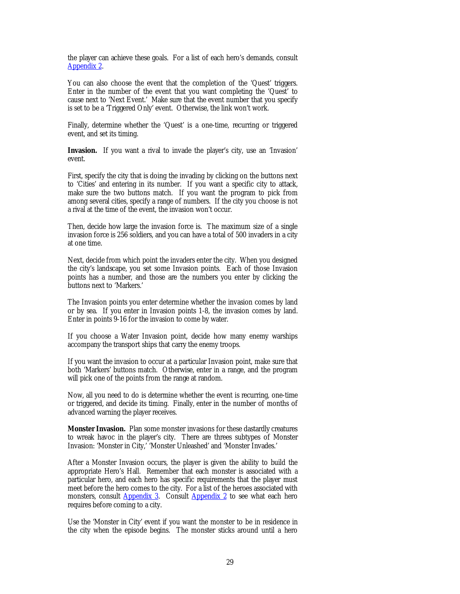<span id="page-28-0"></span>the player can achieve these goals. For a list of each hero's demands, consult [Appendix 2.](#page-41-0)

You can also choose the event that the completion of the 'Quest' triggers. Enter in the number of the event that you want completing the 'Quest' to cause next to 'Next Event.' Make sure that the event number that you specify is set to be a 'Triggered Only' event. Otherwise, the link won't work.

Finally, determine whether the 'Quest' is a one-time, recurring or triggered event, and set its timing.

**Invasion.** If you want a rival to invade the player's city, use an 'Invasion' event.

First, specify the city that is doing the invading by clicking on the buttons next to 'Cities' and entering in its number. If you want a specific city to attack, make sure the two buttons match. If you want the program to pick from among several cities, specify a range of numbers. If the city you choose is not a rival at the time of the event, the invasion won't occur.

Then, decide how large the invasion force is. The maximum size of a single invasion force is 256 soldiers, and you can have a total of 500 invaders in a city at one time.

Next, decide from which point the invaders enter the city. When you designed the city's landscape, you set some Invasion points. Each of those Invasion points has a number, and those are the numbers you enter by clicking the buttons next to 'Markers.'

The Invasion points you enter determine whether the invasion comes by land or by sea. If you enter in Invasion points 1-8, the invasion comes by land. Enter in points 9-16 for the invasion to come by water.

If you choose a Water Invasion point, decide how many enemy warships accompany the transport ships that carry the enemy troops.

If you want the invasion to occur at a particular Invasion point, make sure that both 'Markers' buttons match. Otherwise, enter in a range, and the program will pick one of the points from the range at random.

Now, all you need to do is determine whether the event is recurring, one-time or triggered, and decide its timing. Finally, enter in the number of months of advanced warning the player receives.

**Monster Invasion.** Plan some monster invasions for these dastardly creatures to wreak havoc in the player's city. There are threes subtypes of Monster Invasion: 'Monster in City,' 'Monster Unleashed' and 'Monster Invades.'

After a Monster Invasion occurs, the player is given the ability to build the appropriate Hero's Hall. Remember that each monster is associated with a particular hero, and each hero has specific requirements that the player must meet before the hero comes to the city. For a list of the heroes associated with monsters, consult [Appendix 3.](#page-47-0) Consult [Appendix 2](#page-41-0) to see what each hero requires before coming to a city.

Use the 'Monster in City' event if you want the monster to be in residence in the city when the episode begins. The monster sticks around until a hero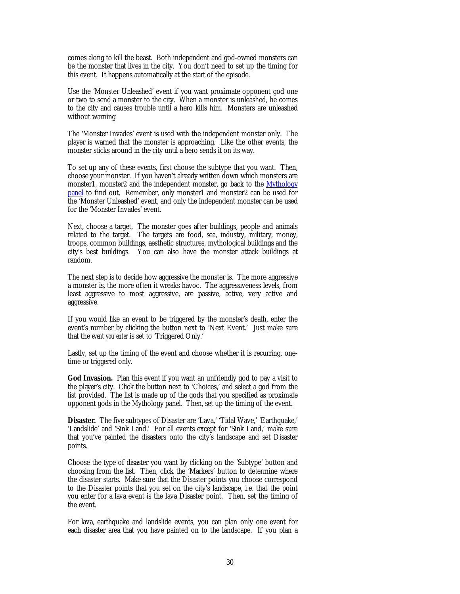<span id="page-29-0"></span>comes along to kill the beast. Both independent and god-owned monsters can be the monster that lives in the city. You don't need to set up the timing for this event. It happens automatically at the start of the episode.

Use the 'Monster Unleashed' event if you want proximate opponent god one or two to send a monster to the city. When a monster is unleashed, he comes to the city and causes trouble until a hero kills him. Monsters are unleashed without warning

The 'Monster Invades' event is used with the independent monster only. The player is warned that the monster is approaching. Like the other events, the monster sticks around in the city until a hero sends it on its way.

To set up any of these events, first choose the subtype that you want. Then, choose your monster. If you haven't already written down which monsters are monster1, monster2 and the independent monster, go back to the [Mythology](#page-19-0) [panel t](#page-19-0)o find out. Remember, only monster1 and monster2 can be used for the 'Monster Unleashed' event, and only the independent monster can be used for the 'Monster Invades' event.

Next, choose a target. The monster goes after buildings, people and animals related to the target. The targets are food, sea, industry, military, money, troops, common buildings, aesthetic structures, mythological buildings and the city's best buildings. You can also have the monster attack buildings at random.

The next step is to decide how aggressive the monster is. The more aggressive a monster is, the more often it wreaks havoc. The aggressiveness levels, from least aggressive to most aggressive, are passive, active, very active and aggressive.

If you would like an event to be triggered by the monster's death, enter the event's number by clicking the button next to 'Next Event.' Just make sure that the *event you enter* is set to 'Triggered Only.'

Lastly, set up the timing of the event and choose whether it is recurring, onetime or triggered only.

**God Invasion.** Plan this event if you want an unfriendly god to pay a visit to the player's city. Click the button next to 'Choices,' and select a god from the list provided. The list is made up of the gods that you specified as proximate opponent gods in the Mythology panel. Then, set up the timing of the event.

**Disaster.** The five subtypes of Disaster are 'Lava,' 'Tidal Wave,' 'Earthquake,' 'Landslide' and 'Sink Land.' For all events except for 'Sink Land,' make sure that you've painted the disasters onto the city's landscape and set Disaster points.

Choose the type of disaster you want by clicking on the 'Subtype' button and choosing from the list. Then, click the 'Markers' button to determine where the disaster starts. Make sure that the Disaster points you choose correspond to the Disaster points that you set on the city's landscape, i.e. that the point you enter for a lava event is the lava Disaster point. Then, set the timing of the event.

For lava, earthquake and landslide events, you can plan only one event for each disaster area that you have painted on to the landscape. If you plan a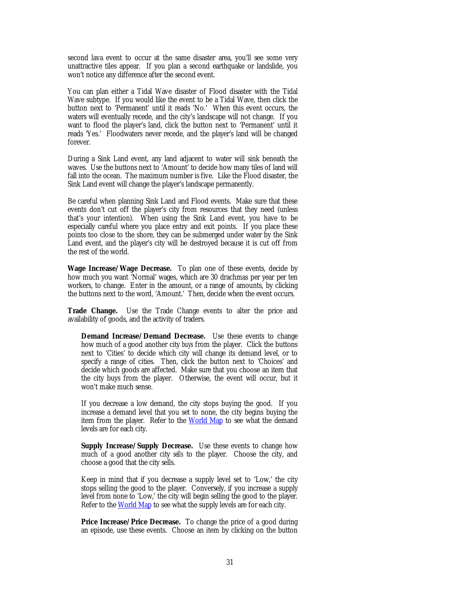<span id="page-30-0"></span>second lava event to occur at the same disaster area, you'll see some very unattractive tiles appear. If you plan a second earthquake or landslide, you won't notice any difference after the second event.

You can plan either a Tidal Wave disaster of Flood disaster with the Tidal Wave subtype. If you would like the event to be a Tidal Wave, then click the button next to 'Permanent' until it reads 'No.' When this event occurs, the waters will eventually recede, and the city's landscape will not change. If you want to flood the player's land, click the button next to 'Permanent' until it reads 'Yes.' Floodwaters never recede, and the player's land will be changed forever.

During a Sink Land event, any land adjacent to water will sink beneath the waves. Use the buttons next to 'Amount' to decide how many tiles of land will fall into the ocean. The maximum number is five. Like the Flood disaster, the Sink Land event will change the player's landscape permanently.

Be careful when planning Sink Land and Flood events. Make sure that these events don't cut off the player's city from resources that they need (unless that's your intention). When using the Sink Land event, you have to be especially careful where you place entry and exit points. If you place these points too close to the shore, they can be submerged under water by the Sink Land event, and the player's city will be destroyed because it is cut off from the rest of the world.

**Wage Increase/Wage Decrease.** To plan one of these events, decide by how much you want 'Normal' wages, which are 30 drachmas per year per ten workers, to change. Enter in the amount, or a range of amounts, by clicking the buttons next to the word, 'Amount.' Then, decide when the event occurs.

**Trade Change.** Use the Trade Change events to alter the price and availability of goods, and the activity of traders.

**Demand Increase/Demand Decrease.** Use these events to change how much of a good another city *buys* from the player. Click the buttons next to 'Cities' to decide which city will change its demand level, or to specify a range of cities. Then, click the button next to 'Choices' and decide which goods are affected. Make sure that you choose an item that the city buys from the player. Otherwise, the event will occur, but it won't make much sense.

If you decrease a low demand, the city stops buying the good. If you increase a demand level that you set to none, the city begins buying the item from the player. Refer to the [World Map](#page-4-0) to see what the demand levels are for each city.

**Supply Increase/Supply Decrease.** Use these events to change how much of a good another city *sells* to the player. Choose the city, and choose a good that the city sells.

Keep in mind that if you decrease a supply level set to 'Low,' the city stops selling the good to the player. Conversely, if you increase a supply level from none to 'Low,' the city will begin selling the good to the player. Refer to the [World Map](#page-4-0) to see what the supply levels are for each city.

**Price Increase/Price Decrease.** To change the price of a good during an episode, use these events. Choose an item by clicking on the button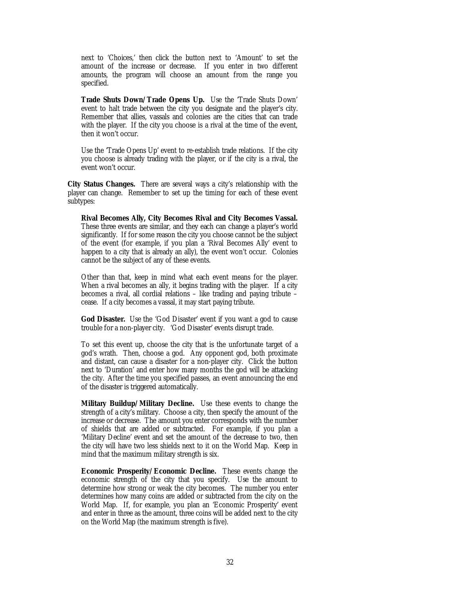<span id="page-31-0"></span>next to 'Choices,' then click the button next to 'Amount' to set the amount of the increase or decrease. If you enter in two different amounts, the program will choose an amount from the range you specified.

**Trade Shuts Down/Trade Opens Up.** Use the 'Trade Shuts Down' event to halt trade between the city you designate and the player's city. Remember that allies, vassals and colonies are the cities that can trade with the player. If the city you choose is a rival at the time of the event, then it won't occur.

Use the 'Trade Opens Up' event to re-establish trade relations. If the city you choose is already trading with the player, or if the city is a rival, the event won't occur.

**City Status Changes.** There are several ways a city's relationship with the player can change. Remember to set up the timing for each of these event subtypes:

**Rival Becomes Ally, City Becomes Rival and City Becomes Vassal.** These three events are similar, and they each can change a player's world significantly. If for some reason the city you choose cannot be the subject of the event (for example, if you plan a 'Rival Becomes Ally' event to happen to a city that is already an ally), the event won't occur. Colonies cannot be the subject of any of these events.

Other than that, keep in mind what each event means for the player. When a rival becomes an ally, it begins trading with the player. If a city becomes a rival, all cordial relations – like trading and paying tribute – cease. If a city becomes a vassal, it may start paying tribute.

**God Disaster.** Use the 'God Disaster' event if you want a god to cause trouble for a non-player city. 'God Disaster' events disrupt trade.

To set this event up, choose the city that is the unfortunate target of a god's wrath. Then, choose a god. Any opponent god, both proximate and distant, can cause a disaster for a non-player city. Click the button next to 'Duration' and enter how many months the god will be attacking the city. After the time you specified passes, an event announcing the end of the disaster is triggered automatically.

**Military Buildup/Military Decline.** Use these events to change the strength of a city's military. Choose a city, then specify the amount of the increase or decrease. The amount you enter corresponds with the number of shields that are added or subtracted. For example, if you plan a 'Military Decline' event and set the amount of the decrease to two, then the city will have two less shields next to it on the World Map. Keep in mind that the maximum military strength is six.

**Economic Prosperity/Economic Decline.** These events change the economic strength of the city that you specify. Use the amount to determine how strong or weak the city becomes. The number you enter determines how many coins are added or subtracted from the city on the World Map. If, for example, you plan an 'Economic Prosperity' event and enter in three as the amount, three coins will be added next to the city on the World Map (the maximum strength is five).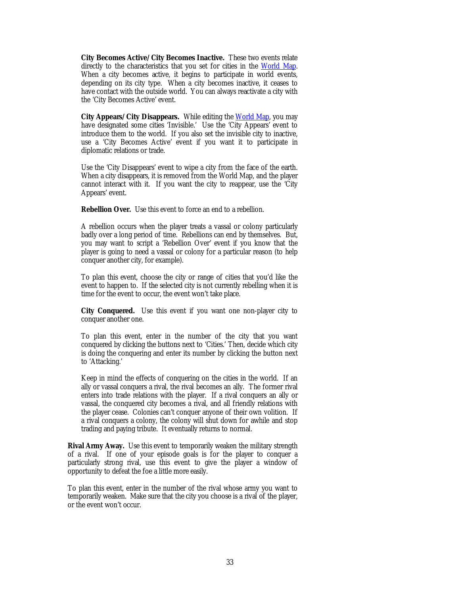<span id="page-32-0"></span>**City Becomes Active/City Becomes Inactive.** These two events relate directly to the characteristics that you set for cities in the [World Map.](#page-4-0) When a city becomes active, it begins to participate in world events, depending on its city type. When a city becomes inactive, it ceases to have contact with the outside world. You can always reactivate a city with the 'City Becomes Active' event.

City Appears/City Disappears. While editing th[e World Map,](#page-4-0) you may have designated some cities 'Invisible.' Use the 'City Appears' event to introduce them to the world. If you also set the invisible city to inactive, use a 'City Becomes Active' event if you want it to participate in diplomatic relations or trade.

Use the 'City Disappears' event to wipe a city from the face of the earth. When a city disappears, it is removed from the World Map, and the player cannot interact with it. If you want the city to reappear, use the 'City Appears' event.

**Rebellion Over.** Use this event to force an end to a rebellion.

A rebellion occurs when the player treats a vassal or colony particularly badly over a long period of time. Rebellions can end by themselves. But, you may want to script a 'Rebellion Over' event if you know that the player is going to need a vassal or colony for a particular reason (to help conquer another city, for example).

To plan this event, choose the city or range of cities that you'd like the event to happen to. If the selected city is not currently rebelling when it is time for the event to occur, the event won't take place.

**City Conquered.** Use this event if you want one non-player city to conquer another one.

To plan this event, enter in the number of the city that you want conquered by clicking the buttons next to 'Cities.' Then, decide which city is doing the conquering and enter its number by clicking the button next to 'Attacking.'

Keep in mind the effects of conquering on the cities in the world. If an ally or vassal conquers a rival, the rival becomes an ally. The former rival enters into trade relations with the player. If a rival conquers an ally or vassal, the conquered city becomes a rival, and all friendly relations with the player cease. Colonies can't conquer anyone of their own volition. If a rival conquers a colony, the colony will shut down for awhile and stop trading and paying tribute. It eventually returns to normal.

**Rival Army Away.** Use this event to temporarily weaken the military strength of a rival. If one of your episode goals is for the player to conquer a particularly strong rival, use this event to give the player a window of opportunity to defeat the foe a little more easily.

To plan this event, enter in the number of the rival whose army you want to temporarily weaken. Make sure that the city you choose is a rival of the player, or the event won't occur.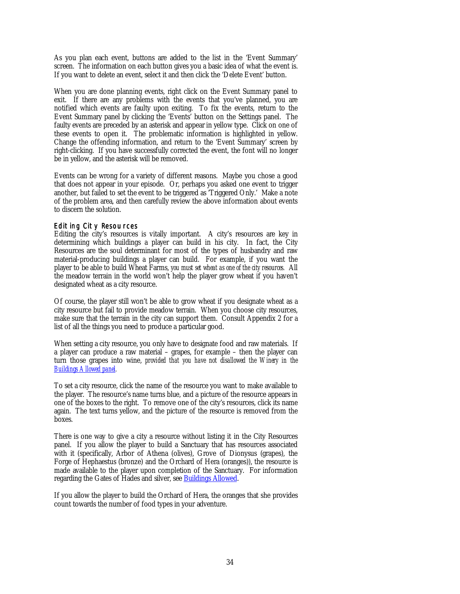<span id="page-33-0"></span>As you plan each event, buttons are added to the list in the 'Event Summary' screen. The information on each button gives you a basic idea of what the event is. If you want to delete an event, select it and then click the 'Delete Event' button.

When you are done planning events, right click on the Event Summary panel to exit. If there are any problems with the events that you've planned, you are notified which events are faulty upon exiting. To fix the events, return to the Event Summary panel by clicking the 'Events' button on the Settings panel. The faulty events are preceded by an asterisk and appear in yellow type. Click on one of these events to open it. The problematic information is highlighted in yellow. Change the offending information, and return to the 'Event Summary' screen by right-clicking. If you have successfully corrected the event, the font will no longer be in yellow, and the asterisk will be removed.

Events can be wrong for a variety of different reasons. Maybe you chose a good that does not appear in your episode. Or, perhaps you asked one event to trigger another, but failed to set the event to be triggered as 'Triggered Only.' Make a note of the problem area, and then carefully review the above information about events to discern the solution.

### Editing City Resources

Editing the city's resources is vitally important. A city's resources are key in determining which buildings a player can build in his city. In fact, the City Resources are the soul determinant for most of the types of husbandry and raw material-producing buildings a player can build. For example, if you want the player to be able to build Wheat Farms, *you must set wheat as one of the city resources.* All the meadow terrain in the world won't help the player grow wheat if you haven't designated wheat as a city resource.

Of course, the player still won't be able to grow wheat if you designate wheat as a city resource but fail to provide meadow terrain. When you choose city resources, make sure that the terrain in the city can support them. Consult Appendix 2 for a list of all the things you need to produce a particular good.

When setting a city resource, you only have to designate food and raw materials. If a player can produce a raw material – grapes, for example – then the player can turn those grapes into wine, *provided that you have not disallowed the Winery in the [Buildings Allowed panel.](#page-21-0)*

To set a city resource, click the name of the resource you want to make available to the player. The resource's name turns blue, and a picture of the resource appears in one of the boxes to the right. To remove one of the city's resources, click its name again. The text turns yellow, and the picture of the resource is removed from the boxes.

There is one way to give a city a resource without listing it in the City Resources panel. If you allow the player to build a Sanctuary that has resources associated with it (specifically, Arbor of Athena (olives), Grove of Dionysus (grapes), the Forge of Hephaestus (bronze) and the Orchard of Hera (oranges)), the resource is made available to the player upon completion of the Sanctuary. For information regarding the Gates of Hades and silver, se[e Buildings Allowed.](#page-21-0)

If you allow the player to build the Orchard of Hera, the oranges that she provides count towards the number of food types in your adventure.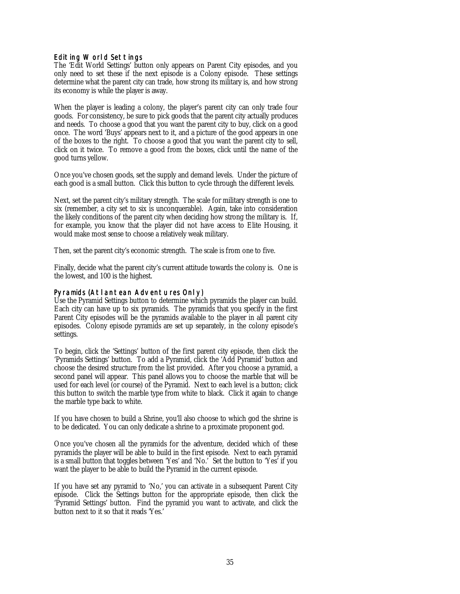## <span id="page-34-0"></span>Editing World Settings

The 'Edit World Settings' button only appears on Parent City episodes, and you only need to set these if the next episode is a Colony episode. These settings determine what the parent city can trade, how strong its military is, and how strong its economy is while the player is away.

When the player is leading a colony, the player's parent city can only trade four goods. For consistency, be sure to pick goods that the parent city actually produces and needs. To choose a good that you want the parent city to buy, click on a good once. The word 'Buys' appears next to it, and a picture of the good appears in one of the boxes to the right. To choose a good that you want the parent city to sell, click on it twice. To remove a good from the boxes, click until the name of the good turns yellow.

Once you've chosen goods, set the supply and demand levels. Under the picture of each good is a small button. Click this button to cycle through the different levels.

Next, set the parent city's military strength. The scale for military strength is one to six (remember, a city set to six is unconquerable). Again, take into consideration the likely conditions of the parent city when deciding how strong the military is. If, for example, you know that the player did not have access to Elite Housing, it would make most sense to choose a relatively weak military.

Then, set the parent city's economic strength. The scale is from one to five.

Finally, decide what the parent city's current attitude towards the colony is. One is the lowest, and 100 is the highest.

## Pyramids (Atlantean Adventures Only)

Use the Pyramid Settings button to determine which pyramids the player can build. Each city can have up to six pyramids. The pyramids that you specify in the first Parent City episodes will be the pyramids available to the player in all parent city episodes. Colony episode pyramids are set up separately, in the colony episode's settings.

To begin, click the 'Settings' button of the first parent city episode, then click the 'Pyramids Settings' button. To add a Pyramid, click the 'Add Pyramid' button and choose the desired structure from the list provided. After you choose a pyramid, a second panel will appear. This panel allows you to choose the marble that will be used for each level (or course) of the Pyramid. Next to each level is a button; click this button to switch the marble type from white to black. Click it again to change the marble type back to white.

If you have chosen to build a Shrine, you'll also choose to which god the shrine is to be dedicated. You can only dedicate a shrine to a proximate proponent god.

Once you've chosen all the pyramids for the adventure, decided which of these pyramids the player will be able to build in the first episode. Next to each pyramid is a small button that toggles between 'Yes' and 'No.' Set the button to 'Yes' if you want the player to be able to build the Pyramid in the current episode.

If you have set any pyramid to 'No,' you can activate in a subsequent Parent City episode. Click the Settings button for the appropriate episode, then click the 'Pyramid Settings' button. Find the pyramid you want to activate, and click the button next to it so that it reads 'Yes.'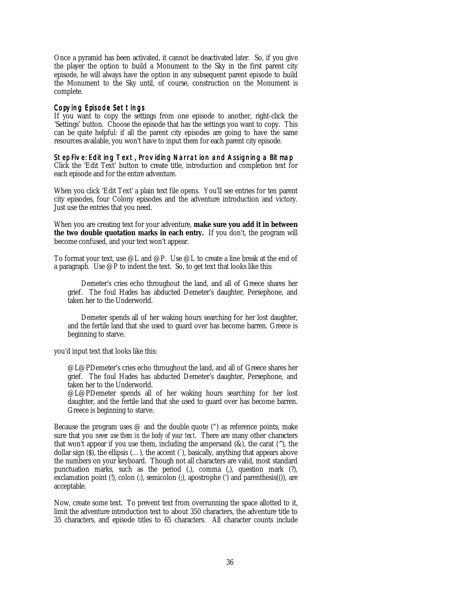<span id="page-35-0"></span>Once a pyramid has been activated, it cannot be deactivated later. So, if you give the player the option to build a Monument to the Sky in the first parent city episode, he will always have the option in any subsequent parent episode to build the Monument to the Sky until, of course, construction on the Monument is complete.

#### Copying Episode Settings

If you want to copy the settings from one episode to another, right-click the 'Settings' button. Choose the episode that has the settings you want to copy. This can be quite helpful: if all the parent city episodes are going to have the same resources available, you won't have to input them for each parent city episode.

Step Five: Editing Text, Providing Narration and Assigning a Bitmap

Click the 'Edit Text' button to create title, introduction and completion text for each episode and for the entire adventure.

When you click 'Edit Text' a plain text file opens. You'll see entries for ten parent city episodes, four Colony episodes and the adventure introduction and victory. Just use the entries that you need.

When you are creating text for your adventure, **make sure you add it in between the two double quotation marks in each entry.** If you don't, the program will become confused, and your text won't appear.

To format your text, use @L and @P. Use @L to create a line break at the end of a paragraph. Use @P to indent the text. So, to get text that looks like this:

Demeter's cries echo throughout the land, and all of Greece shares her grief. The foul Hades has abducted Demeter's daughter, Persephone, and taken her to the Underworld.

Demeter spends all of her waking hours searching for her lost daughter, and the fertile land that she used to guard over has become barren. Greece is beginning to starve.

you'd input text that looks like this:

@L@PDemeter's cries echo throughout the land, and all of Greece shares her grief. The foul Hades has abducted Demeter's daughter, Persephone, and taken her to the Underworld.

@L@PDemeter spends all of her waking hours searching for her lost daughter, and the fertile land that she used to guard over has become barren. Greece is beginning to starve.

Because the program uses  $\varnothing$  and the double quote (") as reference points, make sure that you *never use them in the body of your text.* There are many other characters that won't appear if you use them, including the ampersand  $(\&)$ , the carat  $(\wedge)$ , the dollar sign  $(\overline{S})$ , the ellipsis  $(...)$ , the accent  $(\overline{S})$ , basically, anything that appears above the numbers on your keyboard. Though not all characters are valid, most standard punctuation marks, such as the period (.), comma (.), question mark (?), exclamation point (!), colon (:), semicolon (;), apostrophe (') and parenthesis(()), are acceptable.

Now, create some text. To prevent text from overrunning the space allotted to it, limit the adventure introduction text to about 350 characters, the adventure title to 35 characters, and episode titles to 65 characters. All character counts include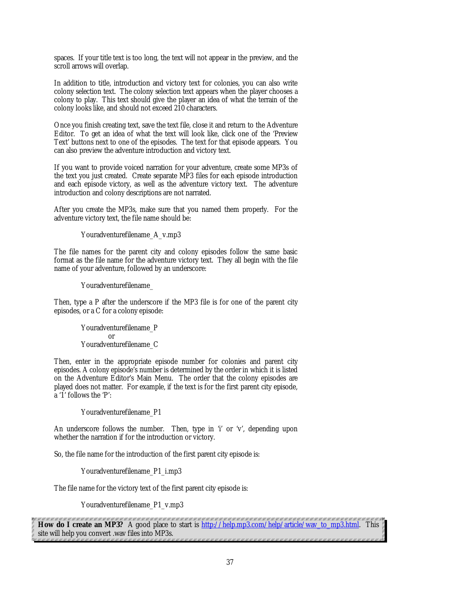<span id="page-36-0"></span>spaces. If your title text is too long, the text will not appear in the preview, and the scroll arrows will overlap.

In addition to title, introduction and victory text for colonies, you can also write colony selection text. The colony selection text appears when the player chooses a colony to play. This text should give the player an idea of what the terrain of the colony looks like, and should not exceed 210 characters.

Once you finish creating text, save the text file, close it and return to the Adventure Editor. To get an idea of what the text will look like, click one of the 'Preview Text' buttons next to one of the episodes. The text for that episode appears. You can also preview the adventure introduction and victory text.

If you want to provide voiced narration for your adventure, create some MP3s of the text you just created. Create separate MP3 files for each episode introduction and each episode victory, as well as the adventure victory text. The adventure introduction and colony descriptions are not narrated.

After you create the MP3s, make sure that you named them properly. For the adventure victory text, the file name should be:

Youradventurefilename\_A\_v.mp3

The file names for the parent city and colony episodes follow the same basic format as the file name for the adventure victory text. They all begin with the file name of your adventure, followed by an underscore:

Youradventurefilename\_

Then, type a P after the underscore if the MP3 file is for one of the parent city episodes, or a C for a colony episode:

> Youradventurefilename\_P or Youradventurefilename\_C

Then, enter in the appropriate episode number for colonies and parent city episodes. A colony episode's number is determined by the order in which it is listed on the Adventure Editor's Main Menu. The order that the colony episodes are played does not matter. For example, if the text is for the first parent city episode, a '1' follows the 'P':

Youradventurefilename\_P1

An underscore follows the number. Then, type in 'i' or 'v', depending upon whether the narration if for the introduction or victory.

So, the file name for the introduction of the first parent city episode is:

Youradventurefilename\_P1\_i.mp3

The file name for the victory text of the first parent city episode is:

Youradventurefilename\_P1\_v.mp3

(KABARAK KABARAK KABARAKA KABARAKA KABARAKA KABARAKA KABARAKA KABARAKA KABARAKA KABARAKA KABARAKA KA **How do I create an MP3?** A good place to start is [http://help.mp3.com/help/article/wav\\_to\\_mp3.html.](http://help.mp3.com/help/article/wav_to_mp3.html) This site will help you convert .wav files into MP3s.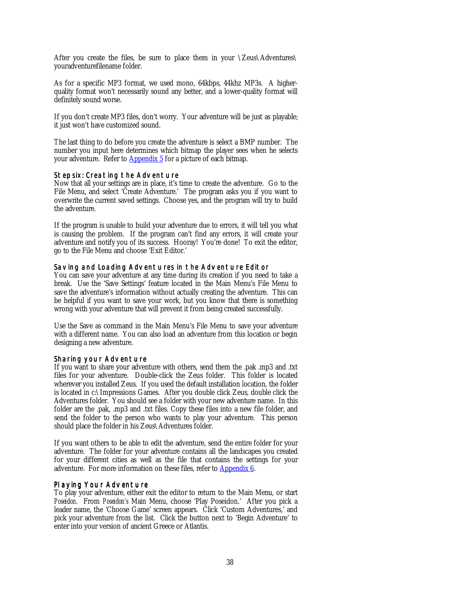<span id="page-37-0"></span>After you create the files, be sure to place them in your \Zeus\Adventures\ youradventurefilename folder.

As for a specific MP3 format, we used mono, 64kbps, 44khz MP3s. A higherquality format won't necessarily sound any better, and a lower-quality format will definitely sound worse.

If you don't create MP3 files, don't worry. Your adventure will be just as playable; it just won't have customized sound.

The last thing to do before you create the adventure is select a BMP number. The number you input here determines which bitmap the player sees when he selects your adventure. Refer to **Appendix 5** for a picture of each bitmap.

## Step six: Creating the Adventure

Now that all your settings are in place, it's time to create the adventure. Go to the File Menu, and select 'Create Adventure.' The program asks you if you want to overwrite the current saved settings. Choose yes, and the program will try to build the adventure.

If the program is unable to build your adventure due to errors, it will tell you what is causing the problem. If the program can't find any errors, it will create your adventure and notify you of its success. Hooray! You're done! To exit the editor, go to the File Menu and choose 'Exit Editor.'

### Saving and Loading Adventures in the Adventure Editor

You can save your adventure at any time during its creation if you need to take a break. Use the 'Save Settings' feature located in the Main Menu's File Menu to save the adventure's information without actually creating the adventure. This can be helpful if you want to save your work, but you know that there is something wrong with your adventure that will prevent it from being created successfully.

Use the Save as command in the Main Menu's File Menu to save your adventure with a different name. You can also load an adventure from this location or begin designing a new adventure.

### Sharing your Adventure

If you want to share your adventure with others, send them the .pak .mp3 and .txt files for your adventure. Double-click the Zeus folder. This folder is located wherever you installed Zeus. If you used the default installation location, the folder is located in c:\Impressions Games. After you double click Zeus, double click the Adventures folder. You should see a folder with your new adventure name. In this folder are the .pak, .mp3 and .txt files. Copy these files into a new file folder, and send the folder to the person who wants to play your adventure. This person should place the folder in his Zeus\Adventures folder.

If you want others to be able to edit the adventure, send the entire folder for your adventure. The folder for your adventure contains all the landscapes you created for your different cities as well as the file that contains the settings for your adventure. For more information on these files, refer to [Appendix 6.](#page-50-0)

### Playing Your Adventure

To play your adventure, either exit the editor to return to the Main Menu, or start *Poseidon*. From *Poseidon's* Main Menu, choose 'Play Poseidon.' After you pick a leader name, the 'Choose Game' screen appears. Click 'Custom Adventures,' and pick your adventure from the list. Click the button next to 'Begin Adventure' to enter into your version of ancient Greece or Atlantis.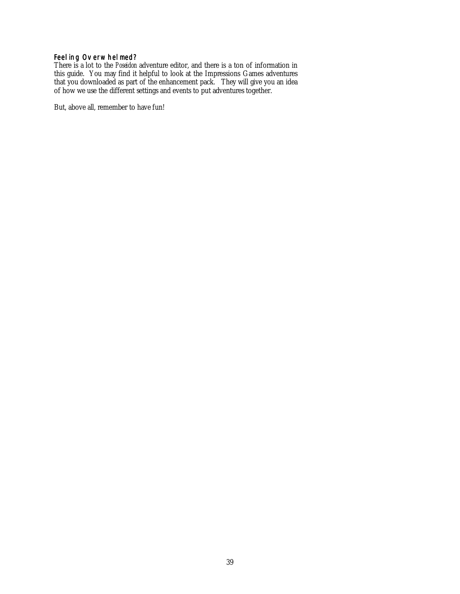## <span id="page-38-0"></span>Feeling Overwhelmed?

There is a lot to the *Poseidon* adventure editor, and there is a ton of information in this guide. You may find it helpful to look at the Impressions Games adventures that you downloaded as part of the enhancement pack. They will give you an idea of how we use the different settings and events to put adventures together.

But, above all, remember to have fun!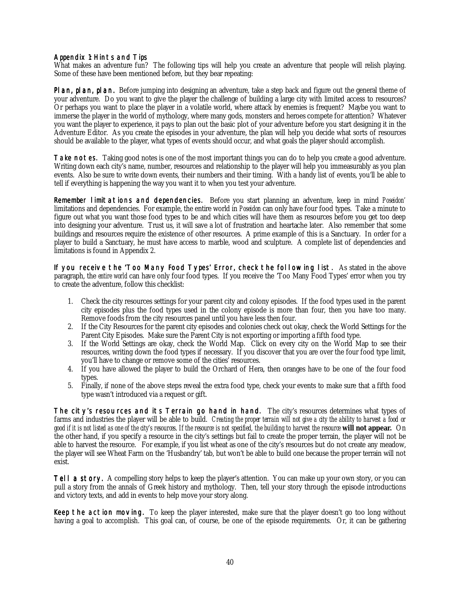### <span id="page-39-0"></span>Appendix 1: Hints and Tips

What makes an adventure fun? The following tips will help you create an adventure that people will relish playing. Some of these have been mentioned before, but they bear repeating:

Plan, plan, plan. Before jumping into designing an adventure, take a step back and figure out the general theme of your adventure. Do you want to give the player the challenge of building a large city with limited access to resources? Or perhaps you want to place the player in a volatile world, where attack by enemies is frequent? Maybe you want to immerse the player in the world of mythology, where many gods, monsters and heroes compete for attention? Whatever you want the player to experience, it pays to plan out the basic plot of your adventure before you start designing it in the Adventure Editor. As you create the episodes in your adventure, the plan will help you decide what sorts of resources should be available to the player, what types of events should occur, and what goals the player should accomplish.

Take notes. Taking good notes is one of the most important things you can do to help you create a good adventure. Writing down each city's name, number, resources and relationship to the player will help you immeasurably as you plan events. Also be sure to write down events, their numbers and their timing. With a handy list of events, you'll be able to tell if everything is happening the way you want it to when you test your adventure.

Remember limitations and dependencies. Before you start planning an adventure, keep in mind *Poseidon'* limitations and dependencies. For example, the entire world in *Poseidon* can only have four food types. Take a minute to figure out what you want those food types to be and which cities will have them as resources before you get too deep into designing your adventure. Trust us, it will save a lot of frustration and heartache later. Also remember that some buildings and resources require the existence of other resources. A prime example of this is a Sanctuary. In order for a player to build a Sanctuary, he must have access to marble, wood and sculpture. A complete list of dependencies and limitations is found in Appendix 2.

If you receive the 'Too Many Food Types' Error, check the following list. As stated in the above paragraph, the *entire world* can have only four food types. If you receive the 'Too Many Food Types' error when you try to create the adventure, follow this checklist:

- 1. Check the city resources settings for your parent city and colony episodes. If the food types used in the parent city episodes plus the food types used in the colony episode is more than four, then you have too many. Remove foods from the city resources panel until you have less then four.
- 2. If the City Resources for the parent city episodes and colonies check out okay, check the World Settings for the Parent City Episodes. Make sure the Parent City is not exporting or importing a fifth food type.
- 3. If the World Settings are okay, check the World Map. Click on every city on the World Map to see their resources, writing down the food types if necessary. If you discover that you are over the four food type limit, you'll have to change or remove some of the cities' resources.
- 4. If you have allowed the player to build the Orchard of Hera, then oranges have to be one of the four food types.
- 5. Finally, if none of the above steps reveal the extra food type, check your events to make sure that a fifth food type wasn't introduced via a request or gift.

The city's resources and its Terrain go hand in hand. The city's resources determines what types of farms and industries the player will be able to build. *Creating the proper terrain will not give a city the ability to harvest a food or good if it is not listed as one of the city's resources*. *If the resource is not specified, the building to harvest the resource* **will not appear.** On the other hand, if you specify a resource in the city's settings but fail to create the proper terrain, the player will not be able to harvest the resource. For example, if you list wheat as one of the city's resources but do not create any meadow, the player will see Wheat Farm on the 'Husbandry' tab, but won't be able to build one because the proper terrain will not exist.

Tell a story. A compelling story helps to keep the player's attention. You can make up your own story, or you can pull a story from the annals of Greek history and mythology. Then, tell your story through the episode introductions and victory texts, and add in events to help move your story along.

Keep the action moving. To keep the player interested, make sure that the player doesn't go too long without having a goal to accomplish. This goal can, of course, be one of the episode requirements. Or, it can be gathering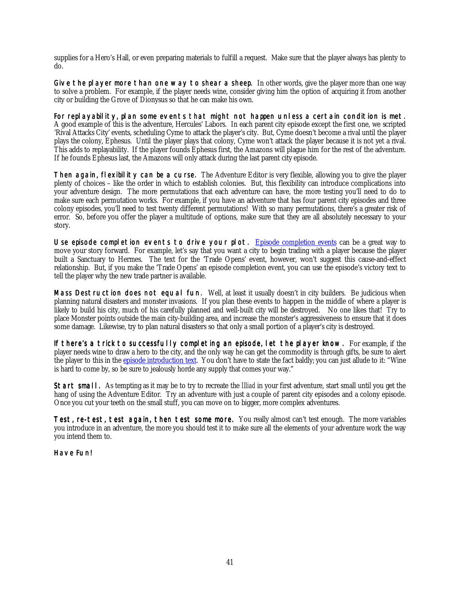supplies for a Hero's Hall, or even preparing materials to fulfill a request. Make sure that the player always has plenty to do.

Give the player more than one way to shear a sheep. In other words, give the player more than one way to solve a problem. For example, if the player needs wine, consider giving him the option of acquiring it from another city or building the Grove of Dionysus so that he can make his own.

For replayability, plan some events that might not happen unless a certain condition is met. A good example of this is the adventure, Hercules' Labors. In each parent city episode except the first one, we scripted 'Rival Attacks City' events, scheduling Cyme to attack the player's city. But, Cyme doesn't become a rival until the player plays the colony, Ephesus. Until the player plays that colony, Cyme won't attack the player because it is not yet a rival. This adds to replayability. If the player founds Ephesus first, the Amazons will plague him for the rest of the adventure. If he founds Ephesus last, the Amazons will only attack during the last parent city episode.

Then again, flexibility can be a curse. The Adventure Editor is very flexible, allowing you to give the player plenty of choices – like the order in which to establish colonies. But, this flexibility can introduce complications into your adventure design. The more permutations that each adventure can have, the more testing you'll need to do to make sure each permutation works. For example, if you have an adventure that has four parent city episodes and three colony episodes, you'll need to test twenty different permutations! With so many permutations, there's a greater risk of error. So, before you offer the player a multitude of options, make sure that they are all absolutely necessary to your story.

Use episode completion events to drive your plot. [Episode completion events](#page-24-0) can be a great way to move your story forward. For example, let's say that you want a city to begin trading with a player because the player built a Sanctuary to Hermes. The text for the 'Trade Opens' event, however, won't suggest this cause-and-effect relationship. But, if you make the 'Trade Opens' an episode completion event, you can use the episode's victory text to tell the player why the new trade partner is available.

Mass Destruction does not equal fun. Well, at least it usually doesn't in city builders. Be judicious when planning natural disasters and monster invasions. If you plan these events to happen in the middle of where a player is likely to build his city, much of his carefully planned and well-built city will be destroyed. No one likes that! Try to place Monster points outside the main city-building area, and increase the monster's aggressiveness to ensure that it does some damage. Likewise, try to plan natural disasters so that only a small portion of a player's city is destroyed.

If there's a trick to successfully completing an episode, let the player know. For example, if the player needs wine to draw a hero to the city, and the only way he can get the commodity is through gifts, be sure to alert the player to this in the [episode introduction text.](#page-35-0) You don't have to state the fact baldly; you can just allude to it: "Wine is hard to come by, so be sure to jealously horde any supply that comes your way."

Start small. As tempting as it may be to try to recreate the *Illiad* in your first adventure, start small until you get the hang of using the Adventure Editor. Try an adventure with just a couple of parent city episodes and a colony episode. Once you cut your teeth on the small stuff, you can move on to bigger, more complex adventures.

Test, re-test, test again, then test some more. You really almost can't test enough. The more variables you introduce in an adventure, the more you should test it to make sure all the elements of your adventure work the way you intend them to.

Have Fun!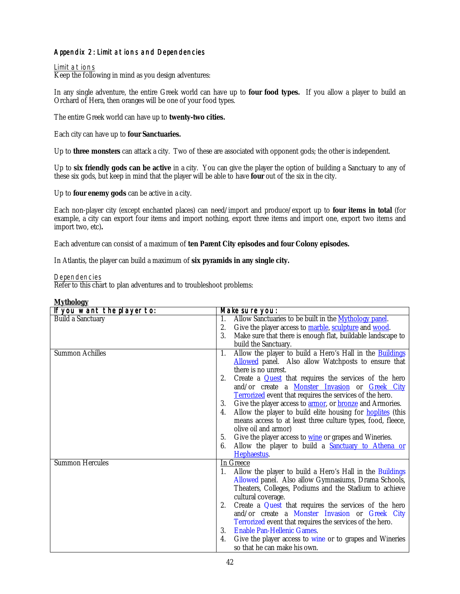## <span id="page-41-0"></span>Appendix 2: Limitations and Dependencies

#### Limitations

Keep the following in mind as you design adventures:

In any single adventure, the entire Greek world can have up to **four food types.** If you allow a player to build an Orchard of Hera, then oranges will be one of your food types.

The entire Greek world can have up to **twenty-two cities.**

Each city can have up to **four Sanctuaries.**

Up to **three monsters** can attack a city. Two of these are associated with opponent gods; the other is independent.

Up to **six friendly gods can be active** in a city. You can give the player the option of building a Sanctuary to any of these six gods, but keep in mind that the player will be able to have **four** out of the six in the city.

Up to **four enemy gods** can be active in a city.

Each non-player city (except enchanted places) can need/import and produce/export up to **four items in total** (for example, a city can export four items and import nothing, export three items and import one, export two items and import two, etc)**.**

Each adventure can consist of a maximum of **ten Parent City episodes and four Colony episodes.**

In Atlantis, the player can build a maximum of **six pyramids in any single city.**

Dependencies

Refer to this chart to plan adventures and to troubleshoot problems:

| If you want the player to: | Make sure you:                                                                |
|----------------------------|-------------------------------------------------------------------------------|
| <b>Build a Sanctuary</b>   | Allow Sanctuaries to be built in the Mythology panel.<br>1.                   |
|                            | Give the player access to marble, sculpture and wood.<br>2.                   |
|                            | 3.<br>Make sure that there is enough flat, buildable landscape to             |
|                            | build the Sanctuary.                                                          |
| <b>Summon Achilles</b>     | Allow the player to build a Hero's Hall in the <b>Buildings</b><br>1.         |
|                            | Allowed panel. Also allow Watchposts to ensure that                           |
|                            | there is no unrest.                                                           |
|                            | Create a <b>Quest</b> that requires the services of the hero<br>2.            |
|                            | and/or create a Monster Invasion or Greek City                                |
|                            | <b>Terrorized</b> event that requires the services of the hero.               |
|                            | Give the player access to <b>armor</b> , or <b>bronze</b> and Armories.<br>3. |
|                            | Allow the player to build elite housing for <b>hoplities</b> (this<br>4.      |
|                            | means access to at least three culture types, food, fleece,                   |
|                            | olive oil and armor)                                                          |
|                            | Give the player access to wine or grapes and Wineries.<br>5.                  |
|                            | Allow the player to build a <b>Sanctuary to Athena or</b><br>6.               |
|                            | Hephaestus.                                                                   |
| <b>Summon Hercules</b>     | In Greece                                                                     |
|                            | Allow the player to build a Hero's Hall in the Buildings                      |
|                            | Allowed panel. Also allow Gymnasiums, Drama Schools,                          |
|                            | Theaters, Colleges, Podiums and the Stadium to achieve                        |
|                            | cultural coverage.                                                            |
|                            | Create a Quest that requires the services of the hero<br>2.                   |
|                            | and/or create a Monster Invasion or Greek City                                |
|                            | Terrorized event that requires the services of the hero.                      |
|                            | <b>Enable Pan-Hellenic Games.</b><br>3.                                       |
|                            | Give the player access to wine or to grapes and Wineries<br>4.                |
|                            | so that he can make his own.                                                  |

#### **Mythology**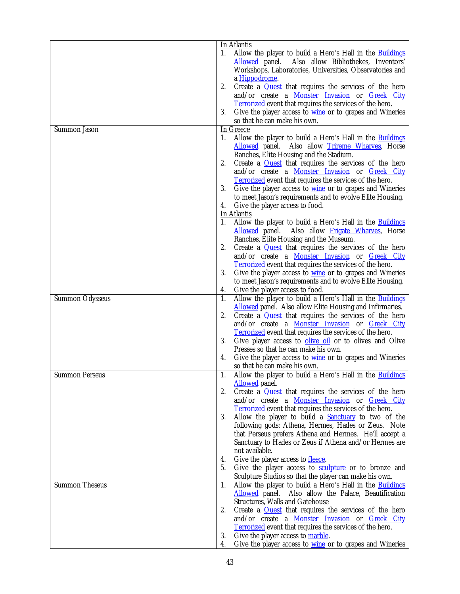|                        | <b>In Atlantis</b>                                                                                                                                                                                   |
|------------------------|------------------------------------------------------------------------------------------------------------------------------------------------------------------------------------------------------|
|                        | Allow the player to build a Hero's Hall in the Buildings<br>1.<br>Allowed panel.<br>Also allow Bibliothekes, Inventors'<br>Workshops, Laboratories, Universities, Observatories and<br>a Hippodrome. |
|                        | 2.<br>Create a Quest that requires the services of the hero<br>and/or create a Monster Invasion or Greek City<br>Terrorized event that requires the services of the hero.                            |
|                        | 3.<br>Give the player access to wine or to grapes and Wineries<br>so that he can make his own.                                                                                                       |
| Summon Jason           | In Greece                                                                                                                                                                                            |
|                        | Allow the player to build a Hero's Hall in the <b>Buildings</b><br>1.<br>Allowed panel. Also allow Trireme Wharves, Horse<br>Ranches, Elite Housing and the Stadium.                                 |
|                        | 2.<br>Create a <b>Quest</b> that requires the services of the hero<br>and/or create a <b>Monster Invasion</b> or <b>Greek City</b>                                                                   |
|                        | <b>Terrorized</b> event that requires the services of the hero.<br>3.<br>Give the player access to <u>wine</u> or to grapes and Wineries                                                             |
|                        | to meet Jason's requirements and to evolve Elite Housing.<br>Give the player access to food.<br>4.                                                                                                   |
|                        | In Atlantis                                                                                                                                                                                          |
|                        | Allow the player to build a Hero's Hall in the <b>Buildings</b><br>1.<br>Allowed panel. Also allow Frigate Wharves, Horse                                                                            |
|                        | Ranches, Elite Housing and the Museum.<br>Create a <b>Quest</b> that requires the services of the hero<br>2.<br>and/or create a <b>Monster Invasion</b> or <i>Greek</i> City                         |
|                        | <b>Terrorized</b> event that requires the services of the hero.<br>3.<br>Give the player access to <b>wine</b> or to grapes and Wineries                                                             |
|                        | to meet Jason's requirements and to evolve Elite Housing.                                                                                                                                            |
|                        | Give the player access to food.<br>4.                                                                                                                                                                |
| <b>Summon Odysseus</b> | Allow the player to build a Hero's Hall in the <b>Buildings</b><br>1.<br><b>Allowed</b> panel. Also allow Elite Housing and Infirmaries.                                                             |
|                        | Create a <b>Quest</b> that requires the services of the hero<br>2.                                                                                                                                   |
|                        | and/or create a Monster Invasion or Greek City<br><b>Terrorized</b> event that requires the services of the hero.                                                                                    |
|                        | 3.<br>Give player access to <b>olive oil</b> or to olives and Olive<br>Presses so that he can make his own.                                                                                          |
|                        | Give the player access to <b>wine</b> or to grapes and Wineries<br>4.                                                                                                                                |
|                        | so that he can make his own.                                                                                                                                                                         |
| <b>Summon Perseus</b>  | Allow the player to build a Hero's Hall in the <b>Buildings</b><br>1.<br><b>Allowed</b> panel.                                                                                                       |
|                        | 2.<br>Create a <b>Quest</b> that requires the services of the hero<br>and/or create a Monster Invasion or Greek City                                                                                 |
|                        | <b>Terrorized</b> event that requires the services of the hero.                                                                                                                                      |
|                        | 3.<br>Allow the player to build a <b>Sanctuary</b> to two of the<br>following gods: Athena, Hermes, Hades or Zeus. Note                                                                              |
|                        | that Perseus prefers Athena and Hermes. He'll accept a                                                                                                                                               |
|                        | Sanctuary to Hades or Zeus if Athena and/or Hermes are                                                                                                                                               |
|                        | not available.<br>Give the player access to fleece.<br>4.                                                                                                                                            |
|                        | Give the player access to <b>sculpture</b> or to bronze and<br>5.                                                                                                                                    |
|                        | Sculpture Studios so that the player can make his own.                                                                                                                                               |
| <b>Summon Theseus</b>  | Allow the player to build a Hero's Hall in the <b>Buildings</b><br>1.<br>Allowed panel. Also allow the Palace, Beautification                                                                        |
|                        | <b>Structures, Walls and Gatehouse</b>                                                                                                                                                               |
|                        | Create a <b>Quest</b> that requires the services of the hero<br>2.                                                                                                                                   |
|                        | and/or create a <b>Monster Invasion</b> or <b>Greek City</b>                                                                                                                                         |
|                        | Terrorized event that requires the services of the hero.<br>3.<br>Give the player access to marble.                                                                                                  |
|                        | Give the player access to <b>wine</b> or to grapes and Wineries<br>4.                                                                                                                                |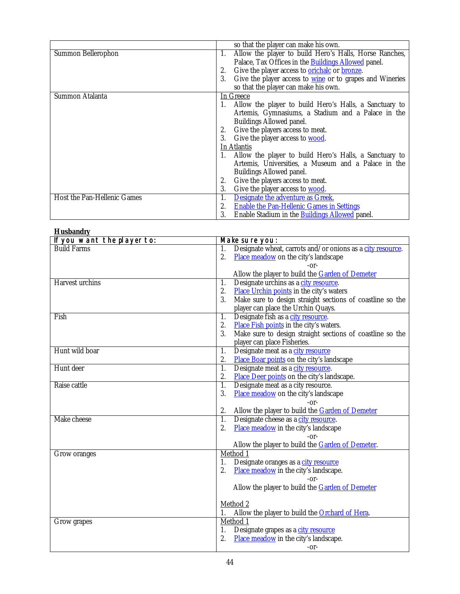<span id="page-43-0"></span>

|                             | so that the player can make his own.                               |
|-----------------------------|--------------------------------------------------------------------|
| Summon Bellerophon          | Allow the player to build Hero's Halls, Horse Ranches,<br>1.       |
|                             | Palace, Tax Offices in the <b>Buildings Allowed</b> panel.         |
|                             | Give the player access to <b>orichalc</b> or <b>bronze</b> .<br>2. |
|                             | Give the player access to wine or to grapes and Wineries<br>3.     |
|                             | so that the player can make his own.                               |
| Summon Atalanta             | In Greece                                                          |
|                             | Allow the player to build Hero's Halls, a Sanctuary to             |
|                             | Artemis, Gymnasiums, a Stadium and a Palace in the                 |
|                             | <b>Buildings Allowed panel.</b>                                    |
|                             | Give the players access to meat.<br>2.                             |
|                             | Give the player access to <b>wood</b> .<br>3.                      |
|                             | In Atlantis                                                        |
|                             | Allow the player to build Hero's Halls, a Sanctuary to             |
|                             | Artemis, Universities, a Museum and a Palace in the                |
|                             | <b>Buildings Allowed panel.</b>                                    |
|                             | Give the players access to meat.<br>2.                             |
|                             | Give the player access to <b>wood</b> .<br>3.                      |
| Host the Pan-Hellenic Games | Designate the adventure as Greek.<br>1.                            |
|                             | <b>Enable the Pan-Hellenic Games in Settings</b><br>2.             |
|                             | Enable Stadium in the <b>Buildings Allowed</b> panel.<br>3.        |

| <b>Husbandry</b>           |                                                                  |
|----------------------------|------------------------------------------------------------------|
| If you want the player to: | Make sure you:                                                   |
| <b>Build Farms</b>         | Designate wheat, carrots and/or onions as a city resource.<br>1. |
|                            | 2.<br>Place meadow on the city's landscape                       |
|                            | -or-                                                             |
|                            | Allow the player to build the <b>Garden of Demeter</b>           |
| <b>Harvest</b> urchins     | Designate urchins as a city resource.<br>1.                      |
|                            | Place Urchin points in the city's waters<br>2.                   |
|                            | 3.<br>Make sure to design straight sections of coastline so the  |
|                            | player can place the Urchin Quays.                               |
| Fish                       | Designate fish as a city resource.<br>$\overline{1}$ .           |
|                            | 2.<br>Place Fish points in the city's waters.                    |
|                            | 3.<br>Make sure to design straight sections of coastline so the  |
|                            | player can place Fisheries.                                      |
| Hunt wild boar             | 1.<br>Designate meat as a city resource                          |
|                            | Place Boar points on the city's landscape<br>2.                  |
| Hunt deer                  | Designate meat as a city resource.<br>$\overline{1}$ .           |
|                            | 2.<br>Place Deer points on the city's landscape.                 |
| Raise cattle               | $\overline{1}$ .<br>Designate meat as a city resource.           |
|                            | 3.<br>Place meadow on the city's landscape                       |
|                            | $-0r-$                                                           |
|                            | Allow the player to build the <b>Garden of Demeter</b><br>2.     |
| Make cheese                | Designate cheese as a city resource.<br>1.                       |
|                            | 2.<br>Place meadow in the city's landscape                       |
|                            | $-0r-$                                                           |
|                            | Allow the player to build the Garden of Demeter.                 |
| Grow oranges               | Method 1                                                         |
|                            | Designate oranges as a city resource<br>1.                       |
|                            | 2.<br>Place meadow in the city's landscape.                      |
|                            | -or-                                                             |
|                            | Allow the player to build the Garden of Demeter                  |
|                            | Method 2                                                         |
|                            | Allow the player to build the <b>Orchard of Hera</b> .           |
| Grow grapes                | Method 1                                                         |
|                            | 1.<br>Designate grapes as a city resource                        |
|                            | 2.<br>Place meadow in the city's landscape.                      |
|                            | $-0r-$                                                           |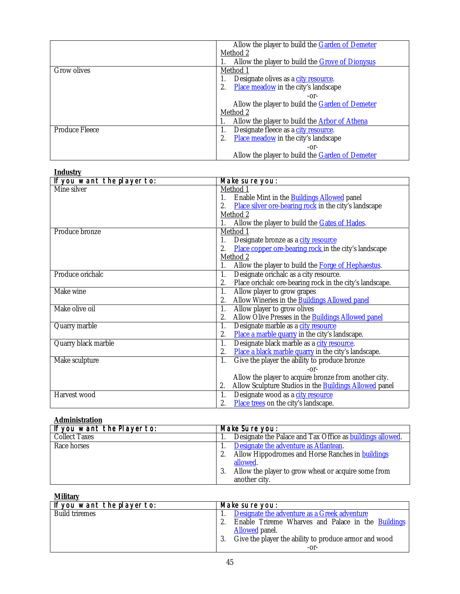<span id="page-44-0"></span>

|                       | Allow the player to build the Garden of Demeter      |
|-----------------------|------------------------------------------------------|
|                       | Method 2                                             |
|                       | Allow the player to build the Grove of Dionysus      |
| <b>Grow olives</b>    | Method 1                                             |
|                       | Designate olives as a city resource.                 |
|                       | Place meadow in the city's landscape                 |
|                       | $-0r-$                                               |
|                       | Allow the player to build the Garden of Demeter      |
|                       | <u>Method 2</u>                                      |
|                       | Allow the player to build the <b>Arbor of Athena</b> |
| <b>Produce Fleece</b> | Designate fleece as a city resource.<br>1.           |
|                       | Place meadow in the city's landscape<br>2.           |
|                       | $-0r-$                                               |
|                       | Allow the player to build the Garden of Demeter      |

| <b>Industry</b>            |                                                                     |
|----------------------------|---------------------------------------------------------------------|
| If you want the player to: | Make sure you:                                                      |
| Mine silver                | Method 1                                                            |
|                            | Enable Mint in the <b>Buildings Allowed</b> panel<br>1.             |
|                            | Place silver ore-bearing rock in the city's landscape<br>2.         |
|                            | Method 2                                                            |
|                            | Allow the player to build the <b>Gates of Hades</b> .<br>1.         |
| Produce bronze             | Method 1                                                            |
|                            | Designate bronze as a city resource<br>1.                           |
|                            | Place copper ore-bearing rock in the city's landscape               |
|                            | Method 2                                                            |
|                            | Allow the player to build the Forge of Hephaestus.<br>1.            |
| Produce orichalc           | Designate orichalc as a city resource.<br>$\overline{1}$ .          |
|                            | Place orichalc ore-bearing rock in the city's landscape.<br>2.      |
| Make wine                  | 1.<br>Allow player to grow grapes                                   |
|                            | Allow Wineries in the <b>Buildings Allowed panel</b><br>2.          |
| Make olive oil             | Allow player to grow olives<br>1.                                   |
|                            | Allow Olive Presses in the <b>Buildings Allowed panel</b><br>2.     |
| Quarry marble              | Designate marble as a city resource<br>1.                           |
|                            | Place a marble quarry in the city's landscape.<br>2.                |
| Quarry black marble        | Designate black marble as a city resource.<br>$\overline{1}$ .      |
|                            | Place a black marble quarry in the city's landscape.<br>2.          |
| Make sculpture             | 1.<br>Give the player the ability to produce bronze                 |
|                            | $-0r-$                                                              |
|                            | Allow the player to acquire bronze from another city.               |
|                            | Allow Sculpture Studios in the <b>Buildings Allowed</b> panel<br>2. |
| Harvest wood               | 1.<br>Designate wood as a city resource                             |
|                            | 2.<br>Place trees on the city's landscape.                          |

## **Administration**

| If you want the Player to: | Make Sure you:                                            |
|----------------------------|-----------------------------------------------------------|
| <b>Collect Taxes</b>       | Designate the Palace and Tax Office as buildings allowed. |
| Race horses                | Designate the adventure as Atlantean.                     |
|                            | Allow Hippodromes and Horse Ranches in buildings<br>2.    |
|                            | allowed.                                                  |
|                            | Allow the player to grow wheat or acquire some from       |
|                            | another city.                                             |

## **Military**

| If you want the player to: | Make sure you:                                            |
|----------------------------|-----------------------------------------------------------|
| <b>Build triremes</b>      | Designate the adventure as a Greek adventure              |
|                            | Enable Trireme Wharves and Palace in the <b>Buildings</b> |
|                            | Allowed panel.                                            |
|                            | Give the player the ability to produce armor and wood     |
|                            | -or-                                                      |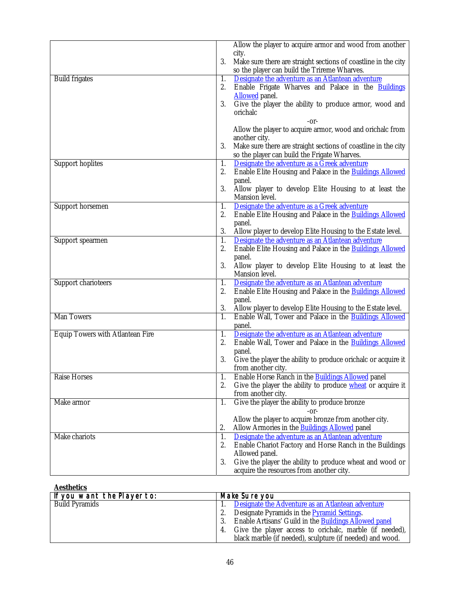<span id="page-45-0"></span>

|                                         |                  | Allow the player to acquire armor and wood from another                                                         |
|-----------------------------------------|------------------|-----------------------------------------------------------------------------------------------------------------|
|                                         |                  | city.                                                                                                           |
|                                         | 3.               | Make sure there are straight sections of coastline in the city                                                  |
|                                         |                  | so the player can build the Trireme Wharves.                                                                    |
| <b>Build frigates</b>                   | 1.               | Designate the adventure as an Atlantean adventure                                                               |
|                                         | 2.               | Enable Frigate Wharves and Palace in the Buildings                                                              |
|                                         |                  | <b>Allowed</b> panel.                                                                                           |
|                                         | 3.               | Give the player the ability to produce armor, wood and                                                          |
|                                         |                  | orichalc                                                                                                        |
|                                         |                  | -or-                                                                                                            |
|                                         |                  | Allow the player to acquire armor, wood and orichalc from                                                       |
|                                         |                  | another city.                                                                                                   |
|                                         | 3.               | Make sure there are straight sections of coastline in the city                                                  |
|                                         |                  | so the player can build the Frigate Wharves.                                                                    |
| <b>Support hoplites</b>                 | 1.               | Designate the adventure as a Greek adventure                                                                    |
|                                         | 2.               | Enable Elite Housing and Palace in the Buildings Allowed                                                        |
|                                         |                  | panel.                                                                                                          |
|                                         | 3.               | Allow player to develop Elite Housing to at least the                                                           |
|                                         |                  | Mansion level.                                                                                                  |
| Support horsemen                        | 1.               | Designate the adventure as a Greek adventure                                                                    |
|                                         | 2.               | Enable Elite Housing and Palace in the <b>Buildings Allowed</b>                                                 |
|                                         | 3.               | panel.                                                                                                          |
|                                         | 1.               | Allow player to develop Elite Housing to the Estate level.<br>Designate the adventure as an Atlantean adventure |
| Support spearmen                        | 2.               | Enable Elite Housing and Palace in the <b>Buildings Allowed</b>                                                 |
|                                         |                  | panel.                                                                                                          |
|                                         | 3.               | Allow player to develop Elite Housing to at least the                                                           |
|                                         |                  | Mansion level.                                                                                                  |
| Support charioteers                     | 1.               | Designate the adventure as an Atlantean adventure                                                               |
|                                         | 2.               | Enable Elite Housing and Palace in the Buildings Allowed                                                        |
|                                         |                  | panel.                                                                                                          |
|                                         | 3.               | Allow player to develop Elite Housing to the Estate level.                                                      |
| <b>Man Towers</b>                       | $\overline{1}$ . | Enable Wall, Tower and Palace in the Buildings Allowed                                                          |
|                                         |                  | panel.                                                                                                          |
| <b>Equip Towers with Atlantean Fire</b> | 1.               | Designate the adventure as an Atlantean adventure                                                               |
|                                         | 2.               | Enable Wall, Tower and Palace in the <b>Buildings Allowed</b>                                                   |
|                                         |                  | panel.                                                                                                          |
|                                         | 3.               | Give the player the ability to produce orichalc or acquire it                                                   |
|                                         |                  | from another city.                                                                                              |
| <b>Raise Horses</b>                     | 1.               | Enable Horse Ranch in the <b>Buildings Allowed</b> panel                                                        |
|                                         | 2.               | Give the player the ability to produce wheat or acquire it                                                      |
|                                         |                  | from another city.                                                                                              |
| Make armor                              | 1.               | Give the player the ability to produce bronze                                                                   |
|                                         |                  | -or-                                                                                                            |
|                                         |                  | Allow the player to acquire bronze from another city.                                                           |
|                                         | 2.               | Allow Armories in the <b>Buildings Allowed</b> panel                                                            |
| Make chariots                           | 1.               | Designate the adventure as an Atlantean adventure                                                               |
|                                         | 2.               | Enable Chariot Factory and Horse Ranch in the Buildings<br>Allowed panel.                                       |
|                                         | 3.               | Give the player the ability to produce wheat and wood or                                                        |
|                                         |                  | acquire the resources from another city.                                                                        |
|                                         |                  |                                                                                                                 |

## **Aesthetics**

| If you want the Player to: | Make Sure you                                                 |
|----------------------------|---------------------------------------------------------------|
| <b>Build Pyramids</b>      | Designate the Adventure as an Atlantean adventure             |
|                            | Designate Pyramids in the Pyramid Settings.                   |
|                            | Enable Artisans' Guild in the Buildings Allowed panel         |
|                            | Give the player access to orichalc, marble (if needed),<br>4. |
|                            | black marble (if needed), sculpture (if needed) and wood.     |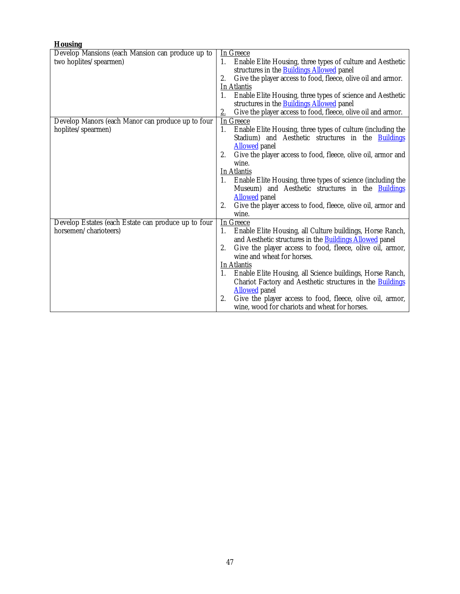| <b>Housing</b>                                      |                                                                                            |
|-----------------------------------------------------|--------------------------------------------------------------------------------------------|
| Develop Mansions (each Mansion can produce up to    | <b>In Greece</b>                                                                           |
| two hoplites/spearmen)                              | Enable Elite Housing, three types of culture and Aesthetic<br>1.                           |
|                                                     | structures in the <b>Buildings Allowed</b> panel                                           |
|                                                     | Give the player access to food, fleece, olive oil and armor.<br>2.                         |
|                                                     | <b>In Atlantis</b>                                                                         |
|                                                     | Enable Elite Housing, three types of science and Aesthetic<br>1.                           |
|                                                     | structures in the <b>Buildings Allowed</b> panel                                           |
|                                                     | Give the player access to food, fleece, olive oil and armor.<br>2.                         |
| Develop Manors (each Manor can produce up to four   | In Greece                                                                                  |
| hoplites/spearmen)                                  | Enable Elite Housing, three types of culture (including the<br>1.                          |
|                                                     | Stadium) and Aesthetic structures in the <b>Buildings</b>                                  |
|                                                     | <b>Allowed</b> panel                                                                       |
|                                                     | Give the player access to food, fleece, olive oil, armor and<br>2.                         |
|                                                     | wine.                                                                                      |
|                                                     | In Atlantis                                                                                |
|                                                     | Enable Elite Housing, three types of science (including the<br>1.                          |
|                                                     | Museum) and Aesthetic structures in the <b>Buildings</b>                                   |
|                                                     | <b>Allowed</b> panel<br>Give the player access to food, fleece, olive oil, armor and<br>2. |
|                                                     | wine.                                                                                      |
| Develop Estates (each Estate can produce up to four | In Greece                                                                                  |
| horsemen/charioteers)                               | Enable Elite Housing, all Culture buildings, Horse Ranch,<br>1.                            |
|                                                     | and Aesthetic structures in the <b>Buildings Allowed</b> panel                             |
|                                                     | Give the player access to food, fleece, olive oil, armor,<br>2.                            |
|                                                     | wine and wheat for horses.                                                                 |
|                                                     | In Atlantis                                                                                |
|                                                     | Enable Elite Housing, all Science buildings, Horse Ranch,<br>1.                            |
|                                                     | Chariot Factory and Aesthetic structures in the <b>Buildings</b>                           |
|                                                     | <b>Allowed</b> panel                                                                       |
|                                                     | 2.<br>Give the player access to food, fleece, olive oil, armor,                            |
|                                                     | wine, wood for chariots and wheat for horses.                                              |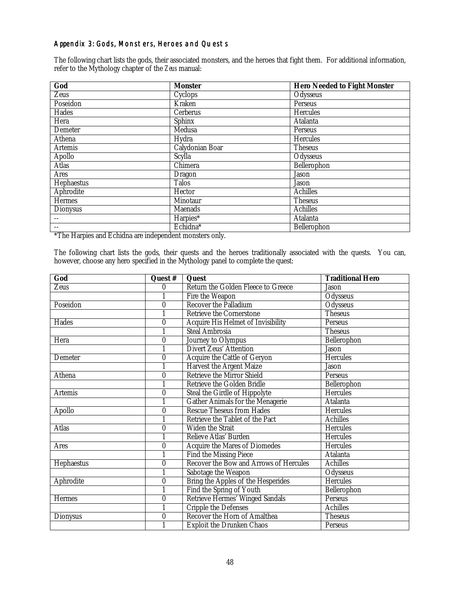## <span id="page-47-0"></span>Appendix 3: Gods, Monsters, Heroes and Quests

The following chart lists the gods, their associated monsters, and the heroes that fight them. For additional information, refer to the Mythology chapter of the *Zeus* manual:

| God               | <b>Monster</b>      | <b>Hero Needed to Fight Monster</b> |
|-------------------|---------------------|-------------------------------------|
| <b>Zeus</b>       | Cyclops             | Odysseus                            |
| Poseidon          | Kraken              | Perseus                             |
| Hades             | <b>Cerberus</b>     | <b>Hercules</b>                     |
| Hera              | <b>Sphinx</b>       | <b>Atalanta</b>                     |
| Demeter           | Medusa              | Perseus                             |
| Athena            | Hydra               | <b>Hercules</b>                     |
| <b>Artemis</b>    | Calydonian Boar     | <b>Theseus</b>                      |
| <b>Apollo</b>     | $\overline{Scylla}$ | Odysseus                            |
| <b>Atlas</b>      | Chimera             | Bellerophon                         |
| <b>Ares</b>       | <b>Dragon</b>       | Jason                               |
| <b>Hephaestus</b> | <b>Talos</b>        | <b>Jason</b>                        |
| <b>Aphrodite</b>  | Hector              | <b>Achilles</b>                     |
| Hermes            | Minotaur            | <b>Theseus</b>                      |
| <b>Dionysus</b>   | <b>Maenads</b>      | <b>Achilles</b>                     |
|                   | Harpies*            | Atalanta                            |
| $- -$             | Echidna*            | Bellerophon                         |

\*The Harpies and Echidna are independent monsters only.

The following chart lists the gods, their quests and the heroes traditionally associated with the quests. You can, however, choose any hero specified in the Mythology panel to complete the quest:

| God             | Quest #          | Quest                                         | <b>Traditional Hero</b> |
|-----------------|------------------|-----------------------------------------------|-------------------------|
| <b>Zeus</b>     | $\boldsymbol{0}$ | <b>Return the Golden Fleece to Greece</b>     | <b>Jason</b>            |
|                 | 1                | Fire the Weapon                               | Odysseus                |
| Poseidon        | $\overline{0}$   | <b>Recover the Palladium</b>                  | Odysseus                |
|                 | 1                | <b>Retrieve the Cornerstone</b>               | <b>Theseus</b>          |
| <b>Hades</b>    | $\bf{0}$         | <b>Acquire His Helmet of Invisibility</b>     | Perseus                 |
|                 | 1                | <b>Steal Ambrosia</b>                         | <b>Theseus</b>          |
| Hera            | $\bf{0}$         | Journey to Olympus                            | Bellerophon             |
|                 | $\overline{1}$   | Divert Zeus' Attention                        | <b>Jason</b>            |
| Demeter         | $\overline{0}$   | Acquire the Cattle of Geryon                  | <b>Hercules</b>         |
|                 | 1                | <b>Harvest the Argent Maize</b>               | <b>Jason</b>            |
| <b>Athena</b>   | $\bf{0}$         | <b>Retrieve the Mirror Shield</b>             | Perseus                 |
|                 |                  | <b>Retrieve the Golden Bridle</b>             | Bellerophon             |
| <b>Artemis</b>  | $\boldsymbol{0}$ | <b>Steal the Girdle of Hippolyte</b>          | <b>Hercules</b>         |
|                 |                  | <b>Gather Animals for the Menagerie</b>       | <b>Atalanta</b>         |
| Apollo          | $\bf{0}$         | <b>Rescue Theseus from Hades</b>              | <b>Hercules</b>         |
|                 | 1                | Retrieve the Tablet of the Pact               | <b>Achilles</b>         |
| <b>Atlas</b>    | $\bf{0}$         | <b>Widen the Strait</b>                       | <b>Hercules</b>         |
|                 | 1                | Relieve Atlas' Burden                         | <b>Hercules</b>         |
| Ares            | $\boldsymbol{0}$ | <b>Acquire the Mares of Diomedes</b>          | <b>Hercules</b>         |
|                 | 1                | <b>Find the Missing Piece</b>                 | <b>Atalanta</b>         |
| Hephaestus      | $\bf{0}$         | <b>Recover the Bow and Arrows of Hercules</b> | <b>Achilles</b>         |
|                 | $\mathbf{1}$     | Sabotage the Weapon                           | <b>Odysseus</b>         |
| Aphrodite       | $\bf{0}$         | Bring the Apples of the Hesperides            | <b>Hercules</b>         |
|                 | 1                | Find the Spring of Youth                      | Bellerophon             |
| <b>Hermes</b>   | $\bf{0}$         | <b>Retrieve Hermes' Winged Sandals</b>        | Perseus                 |
|                 |                  | <b>Cripple the Defenses</b>                   | <b>Achilles</b>         |
| <b>Dionysus</b> | $\boldsymbol{0}$ | <b>Recover the Horn of Amalthea</b>           | <b>Theseus</b>          |
|                 | 1                | <b>Exploit the Drunken Chaos</b>              | Perseus                 |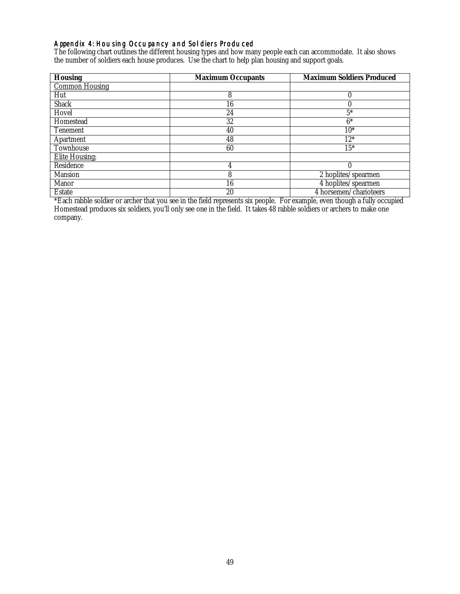## <span id="page-48-0"></span>Appendix 4: Housing Occupancy and Soldiers Produced

The following chart outlines the different housing types and how many people each can accommodate. It also shows the number of soldiers each house produces. Use the chart to help plan housing and support goals.

| <b>Housing</b>        | <b>Maximum Occupants</b> | <b>Maximum Soldiers Produced</b> |
|-----------------------|--------------------------|----------------------------------|
| <b>Common Housing</b> |                          |                                  |
| Hut                   | 8                        | 0                                |
| <b>Shack</b>          | 16                       | 0                                |
| Hovel                 | 24                       | $5*$                             |
| Homestead             | 32                       | $6*$                             |
| <b>Tenement</b>       | 40                       | $10*$                            |
| Apartment             | 48                       | $12*$                            |
| Townhouse             | 60                       | $15*$                            |
| <b>Elite Housing:</b> |                          |                                  |
| Residence             | 4                        | $\bf{0}$                         |
| <b>Mansion</b>        | 8                        | 2 hoplites/spearmen              |
| <b>Manor</b>          | 16                       | 4 hoplites/spearmen              |
| <b>Estate</b>         | 20                       | 4 horsemen/charioteers           |

\*Each rabble soldier or archer that you see in the field represents six people. For example, even though a fully occupied Homestead produces six soldiers, you'll only see one in the field. It takes 48 rabble soldiers or archers to make one company.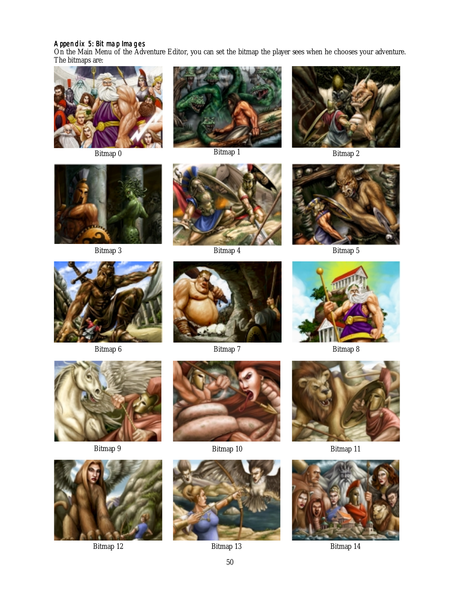#### <span id="page-49-0"></span>Appendix 5: Bitmap Images

On the Main Menu of the Adventure Editor, you can set the bitmap the player sees when he chooses your adventure. The bitmaps are:























Bitmap 9 Bitmap 10 Bitmap 11







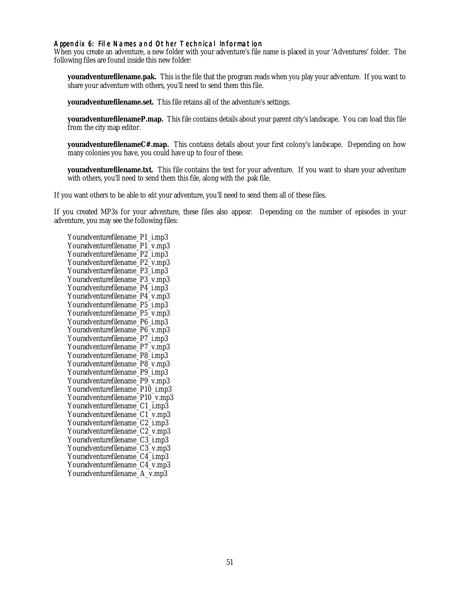#### <span id="page-50-0"></span>Appendix 6: File Names and Other Technical Information

When you create an adventure, a new folder with your adventure's file name is placed in your 'Adventures' folder. The following files are found inside this new folder:

**youradventurefilename.pak.** This is the file that the program reads when you play your adventure. If you want to share your adventure with others, you'll need to send them this file.

**youradventurefilename.set.** This file retains all of the adventure's settings.

**youradventurefilenameP.map.** This file contains details about your parent city's landscape. You can load this file from the city map editor.

**youradventurefilenameC#.map.** This contains details about your first colony's landscape. Depending on how many colonies you have, you could have up to four of these.

**youradventurefilename.txt.** This file contains the text for your adventure. If you want to share your adventure with others, you'll need to send them this file, along with the .pak file.

If you want others to be able to *edit* your adventure, you'll need to send them all of these files.

If you created MP3s for your adventure, these files also appear. Depending on the number of episodes in your adventure, you may see the following files:

Youradventurefilename\_P1\_i.mp3 Youradventurefilename\_P1\_v.mp3 Youradventurefilename\_P2\_i.mp3 Youradventurefilename\_P2\_v.mp3 Youradventurefilename\_P3\_i.mp3 Youradventurefilename\_P3\_v.mp3 Youradventurefilename\_P4\_i.mp3 Youradventurefilename\_P4\_v.mp3 Youradventurefilename\_P5\_i.mp3 Youradventurefilename\_P5\_v.mp3 Youradventurefilename\_P6\_i.mp3 Youradventurefilename\_P6\_v.mp3 Youradventurefilename P7 i.mp3 Youradventurefilename\_P7\_v.mp3 Youradventurefilename\_P8\_i.mp3 Youradventurefilename\_P8\_v.mp3 Youradventurefilename\_P9\_i.mp3 Youradventurefilename\_P9\_v.mp3 Youradventurefilename\_P10\_i.mp3 Youradventurefilename\_P10\_v.mp3 Youradventurefilename\_C1\_i.mp3 Youradventurefilename\_C1\_v.mp3 Youradventurefilename\_C2\_i.mp3 Youradventurefilename\_C2\_v.mp3 Youradventurefilename\_C3\_i.mp3 Youradventurefilename\_C3\_v.mp3 Youradventurefilename\_C4\_i.mp3 Youradventurefilename\_C4\_v.mp3 Youradventurefilename\_A\_v.mp3